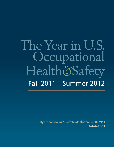# The Year in U.S. Occupational Health&Safety Fall 2011 – Summer 2012

By Liz Borkowski & Celeste Monforton, DrPH, MPH

September 3, 2012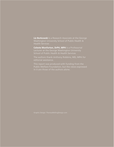**Liz Borkowski** is a Research Associate at the George Washington University School of Public Health &

**Celeste Monforton, DrPH, MPH** is a Professorial Lecturer at the George Washington University School of Public Health & Health Services

The authors thank Anthony Robbins, MD, MPA for editorial assistance.

Public Welfare Foundation, but the views expressed in it are those of the authors alone.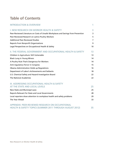# **Table of Contents**

| <b>INTRODUCTION &amp; OVERVIEW</b>                                                 | $\mathbf{1}$   |
|------------------------------------------------------------------------------------|----------------|
| <b>I. NEW RESEARCH ON WORKER HEALTH &amp; SAFETY</b>                               | 3              |
| Peer-Reviewed Literature on Costs of Unsafe Workplaces and Savings from Prevention | 3              |
| Peer-Reviewed Research on Latino Poultry Workers                                   | 5              |
| <b>Additional Peer-Reviewed Studies</b>                                            | $\overline{7}$ |
| <b>Reports from Nonprofit Organizations</b>                                        | 9              |
| Legal Perspectives on Occupational Health & Safety                                 | 10             |
| II. THE FEDERAL GOVERNMENT AND OCCUPATIONAL HEALTH & SAFETY                        | 13             |
| Children in Agriculture: Still Vulnerable                                          | 13             |
| <b>Black Lung in Young Miners</b>                                                  | 14             |
| A Poultry Rule That's Dangerous for Workers                                        | 14             |
| Anti-regulatory Fervor in Congress                                                 | 15             |
| Obama Administration Holds up Regulations                                          | 16             |
| Department of Labor's Achievements and Setbacks                                    | 18             |
| U.S. Chemical Safety and Hazard Investigation Board                                | 22             |
| <b>The National Academies</b>                                                      | 22             |
| III. ADDRESSING OCCUPATIONAL HEALTH & SAFETY                                       |                |
| AT THE STATE AND LOCAL LEVELS                                                      | 25             |
| New State and Municipal Laws                                                       | 25             |
| Reports Relevant for State and Local Governments                                   | 28             |
| Local reporters draw attention to workplace health and safety problems             | 29             |
| The Year Ahead                                                                     | 33             |
| APPENDIX: PEER-REVIEWED RESEARCH ON OCCUPATIONAL                                   |                |
| HEALTH & SAFETY TOPICS (SUMMER 2011 THROUGH AUGUST 2012)                           | 35             |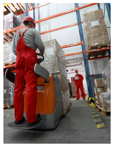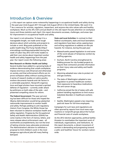#### The Year in U.S. Occupational Health & Safety: 2012 Report

# Introduction & Overview

I n this report we capture some noteworthy happenings in occupational health and safety during the past year (mid-August 2011 through mid-August 2012) in the United States. We want it to be a resource for activists, regulators, researchers, and anyone else who values safe and healthy workplaces. Much as the AFL-CIO's annual *Death on the Job* report focuses attention on workplace injury and illness statistics each April, this report documents successes, challenges, and areas ripe for improvement in occupational health and safety.

Our report is not exhaustive. To keep it to a manageable length, we made some tough decisions about which activities and projects to include or omit. Blog posts published on the public health blog The Pump Handle (http:// scienceblogs.com/thepumphandle/) during the week of Labor Day 2012 will invite readers to add their own stories about important worker health and safety happenings from the past year. Our report covers the following areas:

**New Research on Worker Health and Safety:** Several studies have added to a growing body of evidence demonstrating that unsafe workplaces impose enormous costs (financial and otherwise) on society, and that enforcement efforts can improve workplace safety without causing job loss. A series of research studies on Latino poultry workers documents hazards and risk factors in a vulnerable population. Nonprofit organizations and legal scholars have mounted a spirited defense of regulation – currently under attack by politicians on both sides of the aisle – and presented compelling visions for reform.

**The Federal Government:** The year just ending has been difficult for those who hoped the Obama Administration would bring substantial nationwide improvements to worker health and safety. Perhaps yielding to anti-regulatory rhetoric from Congress, the White House has been reluctant to advance workplace health and safety regulation. Progress by the Occupational Safety and Health Administration (OSHA) has come mainly in the form of memos, letters, and news releases about enforcement cases – all worthwhile accomplishments, but not the kind of lasting victories many advocates envisioned. The Administration's decision to withdraw a proposal to limit children's work in the most dangerous agricultural jobs left many feeling betrayed.

**State and Local Activities:** In contrast to their federal counterparts, state and local lawmakers and regulators have been active, passing laws and writing regulations to address on-the-job hazards. For instance, during the past year:

- Massachusetts passed legislation to end some of the worst abuses of temporary workers by staffing agencies;
- Durham, North Carolina strengthened its bidding process for city-funded projects to require that contractors provide information on their injury rates and safety and health programs;
- • Wyoming adopted new rules to protect oil and gas workers;
- The state of Washington adopted a new regulation to protect healthcare workers from exposures to hazardous medications like anti-cancer drugs;
- • California joined the list of states with safe patient handling regulations to limit musculoskeletal disorders in healthcare workers; and
- • Seattle, Washington passed a law requiring paid sick leave for full-time employees.

Campaigns for such laws and regulations are often spurred by reports from local news organizations or nonprofit groups about the human and financial costs of unsafe workplaces.

As the 2012 election approaches, political battles threaten to overshadow the important work of individuals, organizations, and institutions. As this report documents, a vibrant movement of workers is demanding and progressing toward a safer and healthier future for workers nationwide.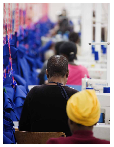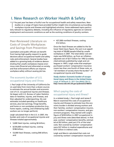# I. New Research on Worker Health & Safety

The past year has been a fruitful one for occupational health and safety researchers. New studies on a range of topics have provided further insight into circumstances surrounding workplace injuries and illnesses and highl studies on a range of topics have provided further insight into circumstances surrounding larly relevant to regulatory debates, including the influence of regulatory agencies on national employment and economic conditions as well as the working conditions of poultry workers.

## Peer-Reviewed Literature on Costs of Unsafe Workplaces and Savings from Prevention

Lawmakers and public officials can benefit from having high-quality research to guide decisions about occupational health and safety rules and enforcement. Several studies have added to a growing body of evidence demonstrating that unsafe workplaces impose enormous costs (financial and otherwise) on society, and that enforcement efforts can improve workplace safety without causing job loss.

#### The economic burden of U.S. occupational injury and illness

J. Paul Leigh of the University of California Davis used data from more than a dozen sources to estimate the annual burden and economic cost of U.S. occupational injuries and illnesses. He began with U.S. Bureau of Labor Statistics data on fatalities, injuries, and illnesses, and then adjusted for underreporting. His cost estimates included spending on healthcare services, plus lost earnings, fringe benefits, and home or non-workplace production (e.g., home repairs, cooking, and childrearing tasks workers can no longer perform).

Leigh calculated that in the U.S. in 2007, the burden and costs of occupational injuries and illnesses totaled approximately:

- • 5,600 fatal injuries, costing \$6 billion;
- • 8,559,000 nonfatal injuries, costing \$186 billion;
- • 53,000 fatal illnesses, costing \$46 billion; and

• 427,000 nonfatal illnesses, costing \$12 billion.

Once the fatal illnesses are added to the far lower fatal-injury figure, the sum is an appalling total of 58,600 people killed by unsafe workplaces in 2007. The total dollar cost estimate was \$250 billion, up from an inflationadjusted cost of \$217 billion for 1992 (a widely cited estimate published by Leigh and colleagues in 1997). Leigh notes that employerpurchased workers' compensation insurance covers less than one-fourth of these costs, so "all members of society share the burden" of occupational injuries and illnesses.

**Study citation: Economic burden of occupational injury and illness in the United States.** Leigh JP. Milbank Q. 2011 Dec;89(4):728-72. **http://www.ncbi.nlm.nih.gov/pubmed/22188353**

**3**

#### Who's paying the costs of occupational injury and illness?

In a related study, J. Paul Leigh and James P. Marcin examined the costs of occupational injuries and illnesses to estimate how the economic burden is divided among workers and their families, workers' compensation insurers, non-workers' compensation insurers, and government programs. They started with Leigh's figure of \$250 billion in 2007 occupational injury and illness costs (described above). In that year, workers' compensation benefits, estimated at \$52 billion, paid just 21% of the total costs. Not covered by workers' compensation were \$37 billion in medical expenditures and \$161 billion in indirect costs.

Leigh and Marcin calculated that costs not covered by workers' compensation insurers fall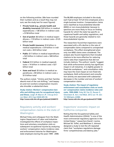on the following entities. (We have rounded their numbers and as a result they may not sum; see the study text for exact figures):

- • **Private funds (e.g., private health and disability insurance):** \$20 billion in medical expenditures + 138 billion in indirect costs = \$158 billion total
- • **Out of pocket:** \$6 billion in medical expen $ditures + 119 billion in indirect costs = $125$ billion total
- • **Private health insurance:** \$14 billion in medical expenditures + \$19 billion in indirect costs = \$33 billion total
- **Public:** \$17 billion in medical expenditures + \$23 billion in indirect costs = \$40 billion total
- **Federal:** \$13 billion in medical expenditures  $+$  14 billion in indirect costs = \$27 billion total
- • **State and local:** \$5 billion in medical expenditures  $+$  \$9 billion in indirect costs = \$13 billion total

The authors noted, "Victims and their families absorb most of the cost shifting," and taxpayers and non-workers-compensation insurers also shoulder a substantial share.

**Study citation: Workers' compensation benefits and shifting costs for occupational injury and illness.** Leigh JP, Marcin JP. J Occup Environ Med. 2012 Apr;54(4):445-50. **http://www.ncbi.nlm.nih.gov/pubmed/22446573**

#### Regulatory activity and workers' compensation claims in the state of **Washington**

Michael Foley and colleagues from the Washington Department of Labor and Industries investigated the effects of workplace inspections and voluntary consultation visits on subsequent occupational injuries by analyzing workers' compensation claims incidence rates and enforcement histories for Washington state employers during the years 1999 - 2008.

The 86,000 employers included in the study each had at least 10 full-time employees and a single business location. Compensation claims were classified as musculoskeletal disorder (MSD) or non-musculoskeletal, because inspections are more likely to focus on finding hazards for which the state has specific occupational health and safety regulations, and those hazards are generally related to nonmusculoskeletal injuries.

The researchers found that inspections were associated with a 4% decline in the rate of compensable claims compared to uninspected workplaces. This effect strengthened when only non-MSD claims were considered. The analysis also found inspections that included citations to be more effective for reducing claims rates than inspections that did not include citations. The authors' results "suggest that while enforcement activity has significant impact in all industries, it is slightly greater in fixed-site workplaces," and consultation visits may have the most impact at non-fixed site workplaces. Both enforcement and consultation activity are associated with substantial decreases in the number and size of workers' compensation claims.

**Study citation: The impact of regulatory enforcement and consultation visits on workers' compensation claims incidence rates and costs, 1999-2008.** Foley M, Fan ZJ, Rauser E, Silverstein B. Am J Ind Med. 2012 Jun 19. doi: 10.1002/ajim.22084.

**http://www.ncbi.nlm.nih.gov/pubmed/22715086**

#### Inspections' economic impact on California companies

Noting that the Occupational Safety and Health Administration (OSHA) "is one of the most controversial regulatory agencies in the United States," researchers David I. Levine, Michael W. Toffel, and Matthew S. Johnson designed a study to test the oft-repeated claim that "workplace regulations damage firms' competitiveness and destroy jobs."

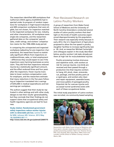The researchers identified 409 workplaces that California's OSHA agency (Cal/OSHA) had inspected under its program of random inspections for workplaces in high-hazard industries and 409 comparison workplaces that were eligible, but not chosen, for inspection matched to the inspected workplaces for size, industry, and other characteristics. All workplaces were single-site companies, and the researchers gathered data on the companies' payroll, sales, credit ratings, and workers' compensation claims for the 1996-2006 study period.

In comparing the uninspected and inspected workplaces (adjusting for pre-inspection characteristics), the researchers found no statistically significant effects from inspections on creditworthiness, sales, or total employment – differences they would expect to see if the inspections were harming businesses as some claim. They did find that inspections reduced injuries by a statistically significant amount, and the effect endured three and four years after the inspections. Fewer injuries translates to lower workers-compensation costs for employers, and the researchers estimate that injury reductions in the five years following an inspection translated into a savings of \$355,000 in medical expenditures and lost earnings per workplace.

The authors suggest that their study be replicated in other settings and with other study designs to test their results' generalizability, but they conclude that their findings do not support claims that occupational safety and health regulatory agencies are bad for business.

**Study citation: Randomized government safety inspections reduce worker injuries with no detectable job loss.** Levine DI, Toffel MW, Johnson MS. Science. 2012 May 18;336(6083):907-11. **http://www.ncbi.nlm.nih.gov/pubmed/22605775**

### Peer-Reviewed Research on Latino Poultry Workers

A group of researchers from Wake Forest School of Medicine and the University of North Carolina Greensboro conducted several studies of Latino poultry workers that shed light on the kinds of health outcomes experienced disproportionately by this population. Their research was especially timely because in early 2012, the U.S. Department of Agriculture proposed to allow the line speed in poultry slaughter facilities to increase significantly (see p. 14). And, as researcher Michael Cartwright and colleagues explain in the study described below, poultry workers' job tasks already put them at high risk for musculoskeletal injuries:

Poultry processing involves strenuous and repetitive work, with workers at risk for overuse injuries. Live birds are received and then passed through a production line that requires workers to hang, kill, pluck, clean, eviscerate, cut, package, and box poultry parts at a rapid pace, and workers also clean and repair equipment, assemble boxes, and move pallets of packaged poultry. Potential risk for overuse injuries such as [carpal tunnel syndrome] exists with each of these occupational duties.

**5**

The initial study population of Latino workers was recruited, via community-based sampling



**Researchers with Wake Forest School of Medicine who have spent a decade studying working conditions for poultry processing workers. Back row: Thomas Arcury, PhD, Sara Quandt, PhD, Dana Mora, MPH; front row: Lourdes Carrillo (HOLA of Wilkes County), Antonio Marín, MA.**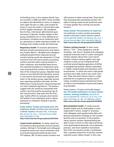of dwelling units, in four western North Carolina counties in 2009 and 2010. Those enrolled as subjects self-identified as Latino or Hispanic, were aged 18 years or older, and worked 35 hours or more per week in manual labor jobs. Of 957 eligible individuals, 742 completed face-to-face, interviewer-administered questionnaires in Spanish. Smaller subsets of this group completed one or more additional examinations, including nerve conduction studies, spirometry to assess respiratory health, etc. Findings from studies include the following:

**Respiratory health:** To evaluate associations between poultry-processing work and respiratory health, Maria C. Mirabelli and colleagues analyzed questionnaire responses and spirometry testing results (an assessment of lung function) from 279 Latino poultry processing workers and 222 Latino manual workers in other industries, and stratified them by sex. The reported prevalence of respiratory symptoms among poultry workers was lower than that of the comparison group. Adjusted mean scores on two tests (forced expiratory volume in one second and forced vital capacity) were lower in the poultry group, especially among men reporting sanitation job tasks, but the differences in lung-function measurements did not reach statistical significance. The authors suggest that the results be interpreted with caution, but that poultry processing may affect lung function; they state that the findings "justify efforts to evaluate and monitor the health of new employees and to reduce exposures to inhalation hazards in poultry processing."

**Study citation: Poultry processing work and respiratory health of Latino men and women in North Carolina.** Mirabelli MC, Chatterjee AB, Arcury TA, et al. J Occup Environ Med. 2012 Feb;54(2):177-83. **http://www.ncbi.nlm.nih.gov/pubmed/22237034**

**Carpal tunnel syndrome:** To assess carpal tunnel syndrome among poultry and non-poultry workers, Michael S. Cartwright and colleagues compared results from nerve conduction studies and self-reported hand/wrist pain from 513 subjects, 287 of them poultry workers and

226 workers at other manual jobs. They found that among poultry processing workers, the odds of having carpal tunnel syndrome were 2.5 times greater than among non-poultry workers.

**Study citation: The prevalence of carpal tunnel syndrome in Latino poultry-processing workers and other Latino manual workers.**  Cartwright MS, Walker FO, Blocker JN, et al. J Occup Environ Med. 2012 Feb;54(2):198-201. **http://www.ncbi.nlm.nih.gov/pubmed/22258161**

**Chicken catching hazards:** To learn more about a "3-D" – dirty, dangerous, and demanding – job, Sara A. Quandt and colleagues analyzed interviews with 21 Latino immigrant chicken catchers about their work and its hazards. Chicken catchers gather and cage chickens so they can be transported from confined animal feeding operations (CAFOs) to slaughtering facilities. Workers described a "highly contaminated and hazardous work environment" in which the work is fast-paced and they have little control over work intensity. These and other factors result in a high potential for occupational injuries and illnesses, including trauma and electrical shock as well as musculoskeletal injuries and respiratory disorders.

**Study citation: 3-D jobs and health disparities: The health implications of Latino chicken catchers' working conditions.** Quandt SA, Arcury-Quandt AE, Lawlor EJ, et al. Am J Ind Med. 2012 May 22. doi: 10.1002/ajim.22072. **http://www.ncbi.nlm.nih.gov/pubmed/22618638**

**Musculoskeletal health:** To study musculoskeletal health and its relationship to work organization factors, Joseph G. Grzywacz and colleagues used questionnaire data and physical examination findings on 552 workers (poultry and non-poultry). In the questionnaires, poultry workers reported being less able to exert control on their jobs and facing more psychological demands, more awkward postures, and more repetitive movements than their non-poultry-worker counterparts. Also, a greater proportion of poultry workers reported a poor safety climate. In this cross-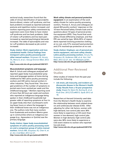sectional study, researchers found that the odds of clinical identification of epicondylitis (tennis elbow), rotator cuff syndrome, and low back problems increased as reported awkward postures and repetitive motion increased, and workers reporting poor safety commitment by supervisors were more likely to have rotator cuff syndrome and low back problems. Odds of rotator cuff problems and low back pain increased as reported psychological demands increased. The odds of epicondylitis and rotator cuff problems decreased as job control increased.

**Study citation: Work organization and musculoskeletal health: Clinical findings from immigrant Latino poultry processing and other manual workers.** Grzywacz JG, Arcury TA, Mora D, et al. J Occup Environ Med. 2012 Jul 19.

**http://www.ncbi.nlm.nih.gov/pubmed/22821071**

#### **Musculoskeletal symptoms and language:**

Mark R. Schulz and colleagues analyzed selfreported upper-body musculoskeletal symptoms and languages spoken at home during childhood for 403 Latino poultry processing workers and 339 Latino manual workers in other industries. They found that "the strongest predictors of the number of symptoms reported were hours worked per week and the childhood language." Workers reporting work of more than 40 hours per week and workers who reported an indigenous language being spoken in their childhood households had greater odds of reporting symptoms at four to six upper-body sites than counterparts working fewer hours or where the language in their childhood home was not an indigenous one. The authors note that many workers from Guatemala and southern Mexico grew up in communities where an indigenous language (e.g., Aguacateco or Quiche) was the primary language.

**Study citation: Upper body musculoskeletal symptoms of Latino poultry processing workers and a comparison group of Latino manual workers.** Schulz MR, Grzywacz JG, Chen H, et al. Am J Ind Med. 2012 Jul 27. **http://www.ncbi.nlm.nih.gov/pubmed/22847516**

**Work safety climate and personal protective equipment:** In an examination of the work safety climate for Latino poultry-processing workers, Thomas A. Arcury and colleagues analyzed 403 poultry workers' responses on the 10-item Perceived Safety Climate Scale and to questions about 10 types of personal protective equipment (PPE). They found that work safety climate differed by employer, and that PPE use varied by type. While 85% of respondents reported receiving protective clothing at no cost, only 57% received hand protection and 27% received eye protection at no cost.

**Study citation: Employer, use of personal protective equipment, and work safety climate: Latino poultry processing workers.** Arcury TA, Grzywacz JG, Anderson AM, et al. Am J Ind Med. 2012 Jul 27. doi: 10.1002/ajim.22101. **http://www.ncbi.nlm.nih.gov/pubmed/22847579**

#### Additional Peer-Reviewed **Studies**

Other studies of interest from the past year include the following:

**7**

**• Job strain, job insecurity, and incident cardiovascular disease in the Women's Health Study: Results from a 10-year prospective study.** Slopen N, Glynn RJ, Buring JE, et al. PLoS One. 2012;7(7):e40512. Epub 2012 Jul 18.

Researchers at Harvard University used data from the Women's Health Study to examine the relationship between work-related stressors and cardiovascular disease (CVD). After adjusting for other risk factors, women with high-demand, low-control jobs were 38% more likely to experience a CVD event than women in low-demand, high-control jobs. Women in high-demand, high-control jobs were also 38% more likely to experience a CVD event relative to women who reported low job strain.

**http://www.ncbi.nlm.nih.gov/pubmed/22815754**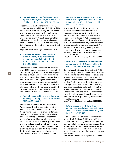**• Paid sick leave and nonfatal occupational injuries.** Asfaw A, Pana-Cryan R, Rosa R. Am J Public Health. 2012 Jun; 102 (9): e59-e64.

Researchers at the National Institute for Occupational Safety and Health (NIOSH) used National Health Interview Survey data on 38,000 working adults to examine the relationship between paid sick leave and incidence of work-related injury. With all other variables held constant, they found that workers with access to paid sick leave were 28% less likely to be injured on the job than workers without paid sick leave.

**http://www.ncbi.nlm.nih.gov/pubmed/22720767**

**• The diesel exhaust in miners study: a cohort mortality study with emphasis on lung cancer.** Attfield MD, Schleiff PL, et al. J Natl Cancer Inst. 2012 Jun 6;104(11): 869-83.

Researchers at the National Cancer Institute and NIOSH reported the results of their cohort mortality study of 12,315 U.S. workers exposed to diesel exhaust in underground mining operations. Lung and esophageal cancer death rates were higher among the exposed miners when compared to state cancer mortality rates. Differences in cancer mortality risk were also observed when the cohort was stratified by work location and cumulative exposure. **http://www.ncbi.nlm.nih.gov/pubmed/22393207**

#### **• Fatal falls among older construction workers.** Dong XS, Wang X, Daw C. Hum Factors. 2012 Jun;54(3):303-15.

Researchers at the Center for Construction Research and Training used data from the Bureau of Labor Statistics' Census of Fatal Occupational Injuries to examine differences in fatal falls between construction workers age 55 and older, and those younger than 55 years. After controlling for other factors, in 11 of 14 different construction occupations, older workers had statistically significantly higher rates of falls than the younger workers. This analysis suggests that age itself is a risk factor for fatal falls among construction workers. **http://www.ncbi.nlm.nih.gov/pubmed/22768635**

**• Lung cancer and elemental carbon exposure in trucking industry workers.** Garshick E, Laden F, Hart JE, et al. Environ Health Perspect. 2012 May 31.

A collaborative team of Boston-based researchers complemented their previous research on lung cancer risk for trucking industry workers exposed to diesel exhaust. Their cohort included 31,135 Teamsters, in which estimates of personal historical exposure to elemental carbon (EC) were calculated as a surrogate for diesel engine exhaust. The authors observed a strong healthy worker survivor effect, and reported an association between cumulative EC exposure and lung cancer mortality.

**http://www.ncbi.nlm.nih.gov/pubmed/22739103**

**• Multisource surveillance system for workrelated burns.** Kica J, Rosenman KD. J Occup Environ Med. 2012 May; 54(5):642-7.

Researchers at Michigan State University's Division of Occupational and Environmental Medicine used data from the state's 134 acute-care hospitals, the state workers' compensation agency, and the state's poison control center to identify all cases of work-related burns occurring in 2009. The total of 1,461 cases they identified was substantially higher than the total of 450 cases reported in the U.S. Labor Department's annual survey. The authors reiterate the call for federal agencies to develop a multi-source occupational injury and illness surveillance system.

**http://www.ncbi.nlm.nih.gov/pubmed/22513658**

**• Fatal exposure to methylene chloride among bathtub refinishers - United States, 2000-2011.** MMWR Morb Mortal Wkly Rep. 2012 Feb 24;61(7):119-22.

Michigan State University researchers collaborated with NIOSH and OSHA to identify ten fatal incidents involving workers using methylene chloride-based paint stripping products in refinishing bathtubs. The authors warn that the widespread availability of these products for small contractors and do-it-yourselfers puts lives at risk.

**http://www.ncbi.nlm.nih.gov/pubmed/22357403**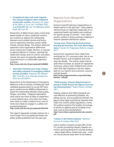**• Occupational injury and work organization among immigrant Latino residential construction workers.** Grzywacz JG, Quandt SA, Marín A, et al. Am J Ind Med. 2012 Aug;55(8):698-706. doi: 10.1002/ajim.22014. Epub 2012 Jan 20.

Researchers at Wake Forest used a communitybased sample of Latino residential construction workers to explore the relationship between work-related injuries and factors such as supervisory practices, power, safety climate, and job design. The authors observed systematic work organization differences across construction trades. Roofers, in contrast to general laborers or framers, reported the lowest skill variety, level of control, and safety climate, but were not typically subjected to long work hours or unfavorable supervisor practices.

**http://www.ncbi.nlm.nih.gov/pubmed/22266800**

**• Association between poor sleep, fatigue, and safety outcomes in emergency medical services providers.** Patterson PD, Weaver MD, Frank RC, et al. Prehosp Emerg Care. 2012 Jan;16(1):86-97.

Researchers at the Department of Emergency Medicine at the University of Pittsburgh used validated questionnaires to survey 547 emergency medical service (EMS) professionals to assess the relationship between sleep quality, fatigue, and safety. Fatigued respondents were nearly two times as likely to experience a work-related injury, more than two times more likely to make a medical error, and 3.6 times more likely to engage in a safety-compromising behavior.

**http://www.ncbi.nlm.nih.gov/pubmed/22023164**

This report's Appendix includes citations for a much longer list of occupational health and safety studies published over the past year.

## Reports from Nonprofit **Organizations**

Several nonprofit advocacy organizations released reports in the past year. These address national issues of regulation (especially of occupational health and safety) and conditions for specific groups of workers – from Latino poultry workers to those working in Walmart's massive upstream distribution system.

**"Saving Lives, Preserving the Environment, Growing the Economy: The Truth About Regulation,"** Center for Progressive Reform, August 2011.

Government regulations have made food and drugs for U.S. consumers safer, the air we breathe cleaner, and workplaces and roadways less deadly. The authors argue that despite these successes, an assault on regulations continues, using a tactic fueled by the untrue claim that high regulatory costs are responsible for our nation's slow economic recovery and job growth.

**9**

**[http://www.progressivereform.org/articles/Reg-](http://www.progressivereform.org/articles/RegBenefits_1109.pdf)Benefits\_1109.pdf**

**"OSHA Inaction: Onerous Requirements Imposed on OSHA Prevent the Agency from Issuing Lifesaving Rules,"** Public Citizen, October 2011.

Despite evidence that OSHA standards are cost-effective at preventing fatalities, disabling injuries, and occupational illnesses, the agency faces legal and political obstacles that make new worker safety regulations a rarity. The authors examine the lengthy chronology of efforts to address several workplace hazards, such as silica and beryllium. **[http://www.citizen.org/documents/osha-inaction.](http://www.citizen.org/documents/osha-inaction.pdf) pdf**

#### **"Latinos in the Poultry Industry,"** National Council of La Raza, May 2012.

Latino workers comprise at least 34% of the U.S. poultry processing industry. Despite consumers' growing demand for poultry products – about eight billion chickens per year – workers' hourly salaries keep them at the federal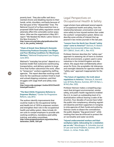poverty level. They also suffer well documented chronic and disabling injuries to their hands, wrists, shoulders, and backs because of the fast pace of the "disassembly" lines. The National Council of La Raza examines how a proposed USDA food safety regulation would adversely affect this vulnerable worker population. (Also see the organization's May 2011 report "We Needed the Work: Latino Voices in the New Economy.")

**[http://www.nclr.org/index.php/publications/lati](http://www.nclr.org/index.php/publications/latinos_in_the_poultry_industry/)nos\_in\_the\_poultry\_industry/**

**"Chain of Greed: How Walmart's Domestic Outsourcing Produces Everyday Low Wages and Poor Working Conditions for Warehouse Workers,"** National Employment Law Project, June 2012.

Walmart's "everyday low prices" depend on a business model that outsources warehousing, transportation, and delivery systems to large firms that further subcontract the work, often to "temporary" workers supplied by staffing agencies. The report describes working conditions for the warehouse workers hired to load and unload shipping containers, and their struggles with wage theft and safety violations.

**[http://www.nelp.org/page/-/Justice/2012/ChainOf](http://www.nelp.org/page/-/Justice/2012/ChainOfGreed.pdf?nocdn=1)-Greed.pdf?nocdn=1**

#### **"The Next OSHA: Progressive Reforms to Empower Workers,"** Center for Progressive Reform, July 2012.

The authors identify improvements that could be made to the Occupational Safety and Health Act of 1970 to empower workers and strengthen their role in the occupational health and safety system. Ideas include citizen suits to compel employers to provide safe working conditions, mandatory paid safety training, and safety committees. **[http://www.progressivereform.org/articles/Next\\_](http://www.progressivereform.org/articles/Next_Generation_OSHA_1207.pdf) Generation\_OSHA\_1207.pdf**

## Legal Perspectives on Occupational Health & Safety

Legal scholars have addressed several aspects of occupational health and safety, from the relationship between unionization and coalmine safety to how injured workers fare under the workers' compensation system. Below we describe some articles of interest that appeared in law review journals in the last year.

**"Lessons from the North Sea: Should "safety cases" come to America?"** Steinzor, R. Boston College Environmental Affairs Law Review, 2011 (38 B.C. Envtl. Aff. L. Rev. 417).

Professor Steinzor describes the "safety case" approach to assessing risk of harm to workers and the environment, a system used in some industries in the United Kingdom and elsewhere. She argues that confidentiality allowances for firms, the acceptable risk tolerances, and oversight obstacles for agencies make the "safety case" approach inappropriate for the U.S.

**"The future of regulation: the truth about regulations in America."** Steinzor, R. Harvard Law & Policy Review, Summer, 2011 (5 Harv. L. & Pol'y Rev. 323).

Professor Steinzor makes a compelling argument that stringent environmental, worker safety, and public health regulations enabled the U.S. to reach an outstanding level of industrialization without leaving a wake of destruction. Four decades of success have lulled the public into complacency, allowing regulated industries and their supporters in Congress to strip agencies of their funds and authority. Steinzor works to dissect the contradiction: the public despises "big government" while insisting that laws be enforced to protect the air we breathe and water we drink.

**"Injured undocumented workers and their workplace rights: Advocating for a retaliation per se rule."** Mondragon, R. Columbia Journal of Law and Social Problems, Summer, 2011 (44 Colum. J.L. & Soc. Probs. 447).

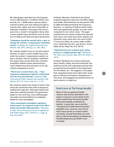Ms. Mondragon describes how the Supreme Court's 2002 decision in *Hoffman Plastic Compounds, Inc. v. NLRB* makes injured undocumented workers even less willing and able to exercise their rights, and more vulnerable to employer retaliation. She argues that any inquiry into a worker's immigration status after a work-related injury should be a per-se violation of federal anti-discrimination protections.

**"Employees should be treated fairly: a plea to change the workers' compensation retaliation statute."** Kukreja, M. Capital University Law Review, Fall, 2011, (39 Cap. U.L. Rev. 961).

Ms. Kukreja explains how an injured worker's decision to report a work-related injury and enter the workers' compensation system creates a situation ripe for employer retaliation. She argues that current State law overlooks workplace realities where experiencing a work-related injury becomes part of an individual's employment record.

**"'We'd love to match them, but...': How temporary employment agencies understand and use race and ethnicity."** Sweeney, MM. Connecticut Public Interest Law Journal, Fall/ Winter 2011 (11 Conn. Pub. Int. L.J. 51).

Ms. Sweeney reports the results of seven interviews she conducted with staff of temporary employment agencies. Although federal and state laws explicitly prohibit hiring decisions based on race and class, some staffing agencies make recommendations to employers based on racial stereotypes.

**"Does unionization strengthen regulatory enforcement? An empirical study of the Mine Safety and Health Administration."** Morantz, A. New York University Journal of Legislation and Public Policy, 2011 (14 N.Y.U. J. Legis. & Pub. Pol'y 697).

Professor Morantz of Stanford Law School analyzed inspection data from the Mine Safety and Health Administration for the period 1995 to 2009 and determined that the frequency, duration, or intensity of federal safety inspections was significantly greater at union mines compared to non-union mines. This paper complements her earlier analysis that showed that union coal mines have lower fatality and traumatic injury rates than non-union mines. ("Coal mine safety: do unions make a difference" (Stanford Law Sch. Law & Econ, Online Paper Series, Paper No. 413, 2011))

**"Administrative law as blood sport: policy erosion in a highly partisan age."** McGarity, TO. Duke Law Journal, May, 2012 (61 Duke L.J. 1671).

Professor McGarity has written extensively about health, safety, and environmental rulemaking and the now-ingrained practices that go beyond the formalities of the Administrative Procedure Act. He suggests in this paper that regulated parties have taken their strategies to influence and derail rulemaking to a new level, and engaged new political actors to exert pressure on agencies.

**11**

#### Read more at The Pump Handle

Much of the occupational health research and activity described in this report is covered in more detail at the public health blog The Pump Handle, http://scienceblogs.com/thepump handle/. In particular, twice-monthly "Occupational Health News Roundups" highlight local, national, and international news stories on worker health and safety. All past Roundups are avail[able at http://scienceblogs.com/thepump](http://scienceblogs.com/thepumphandle/category/occup-health-news-roundup/) handle/category/occup-health-newsroundup/.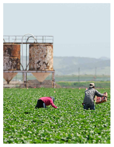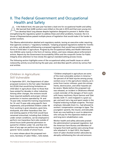# II. The Federal Government and Occupational Health and Safety

t the federal level, the past year has been a bad one for occupational health and safety. We learned that 4,690 workers were killed on the job in 2010 and that even young miners develop black lung disease despite legislation designed to prevent it. Rather than strengthening the regulatory system to address these and other problems, however, the U.S. House of Representatives passed multiple pieces of legislation that would make it far harder to protect workers.

The Obama administration abetted anti-regulatory zealots, issuing an executive order requiring that agencies conduct a "regulatory lookback," keeping proposed regulations stalled for months at a time, and abruptly withdrawing a proposed regulation that would have prohibited some forms of child labor in agriculture. Progress by the Occupational Safety and Health Administration (OSHA) came mainly in the form of memos, letters, and news releases about enforcement actions. Reports by the Government Accountability Office and the nonprofit Center for Public Integrity drew attention to how slowly the agency's standard-setting process moves.

The following section highlights some of the occupational safety and health issues on which noteworthy activity occurred during the past year, and describes specific actions by various federal entities.

## Children in Agriculture: Still Vulnerable

In September 2011, the Department of Labor proposed revisions to the Fair Labor Standards Act (FLSA) that would bring limitations on child labor in agriculture closer to those that have existed for decades in other industries. Among other changes, the revisions would have required seatbelts and proper rollover protection in tractors operated by 14- and 15-year-olds; revised the training requirements for 14- and 15-year-olds using specific farm implements; and prohibited children under 18 from working in grain elevators, grain bins, stockyards, and other hazardous sites. Several existing aspects of the FLSA would have remained untouched, including that children, under certain conditions, can be employed to perform non-hazardous farm jobs outside of school hours (with parental permission required for children under 12), and that children of any age can perform any task on their parents' farms outside of school hours.

In a news release about the proposed revisions, Secretary of Labor Hilda L. Solis stated,

"Children employed in agriculture are some of the most vulnerable workers in America." Ten percent of all fatal injuries among young workers occur in the agriculture industry, as injuries from tractor rollovers, grain bin entrapments, electrocution, and other hazards can be severe. Weeks before the proposed rule was released, an incident in Oklahoma offered a stark reminder of the dangers of farm work with heavy machinery: Bryce Gannon and Tyler Zander, both 17, were trapped in a grain auger, and each lost a leg and spent weeks in the hospital enduring multiple surgeries. The boys' employer, Zaloudek Grain Co., had allowed its workers' compensation coverage to lapse. The youngsters' parents, the insurer, and Zaloudek Grain are now battling in court to determine who will pay for the expensive medical care and long-term rehabilitation costs.

**13**

Worker health and safety advocates praised the administration's proposed regulation, but the American Farm Bureau and Members of Congress from both parties were among those who attacked it. In April 2012, the Department of Labor shocked worker advocates by abruptly withdrawing the rule and announc-

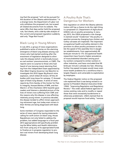ing that the proposal "will not be pursued for the duration of the Obama administration." In a strange twist, the Department of Labor not only withdrew the proposed rule, but erased all related documents from its website. The same URLs that days earlier held the proposed rule, fact sheets, and a side-by-side analysis of the current and proposed regulation suddenly said only "Page Not Found."

## Black Lung in Young Miners

In July 2012, a group of news organizations published a series of stories on the alarming emergence of black lung disease among coal miners who had started working after the enactment of legislation designed to eliminate this disease (which is technically known as coal workers' pneumoconiosis, or CWP). The reports were no surprise to those who had heard of one (among many) alarming finding from the independent team appointed by then-West Virginia Governor Joe Manchin to investigate the 2010 Upper Big Branch mine explosion, which killed 29 miners: Of the 24 bodies with lung tissue for autopsy, 17 showed signs of black lung disease. A series of news reports by Chris Hamby of the Center for Public Integrity, Howard Berkes of NPR, and Ken Ward Jr. of the *Charleston (WV) Gazette* gave readers and listeners a detailed picture of the lives of miners now suffering from CWP, and the reasons why this disease is now affecting relatively young miners. In previous decades, the disease tended to afflict miners approaching retirement age, but today even miners in their thirties are being diagnosed with black lung.

Some members of Congress responded to the series of news reports by issuing statements calling for swift action on black lung. House Republicans not only failed to address the problem, but added language to a fiscal year 2013 appropriations bill specifically prohibiting the Mine Safety and Health Administration from using any of its appropriated funds to finalize an in-progress regulation to protect coal miners from developing black lung disease.

## A Poultry Rule That's Dangerous for Workers

One regulation on which the Obama administration still has a chance to do the right thing is a proposed U.S. Department of Agriculture (USDA) rule on poultry processing. In January 2012, the USDA proposed a rule change it claimed would "modernize" the poultry inspection process by changing how chicken and turkey carcasses are inspected. The important occupational health and safety element is the provision to allow poultry processors to double the speed of the assembly line in slaughter establishments, from approximately 90 birds per minute to 175. Occupational health researchers have found a higher prevalence of musculoskeletal disorders among poultry workers compared to similar workers in other industries, and have concluded that 90 birds per minute is already too fast. Allowing further line-speed increases would mean even more health problems for a workforce that is largely Hispanic and vulnerable to exploitation by employers.

The *Federal Register* notice on the proposed rule explained that it was being revised in response to President Obama's Executive Order 13563, "Improving Regulation and Regulatory Review." The order asked federal agencies to review existing rules and to modify or repeal those that were excessively burdensome or otherwise problematic. USDA claimed that its proposal would improve food safety, "remove



**Poultry processing workers dissembling chicken legs and thighs for packaging.**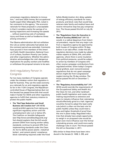unnecessary regulatory obstacles to innovation," and save USDA money. But occupational health expert Ellen Silbergeld, PhD, noted in her comments to the agency, "the economic rationale for these proposals is unacceptable in that it considers mainly the savings of reducing inspections and increasing line speeds … without examining costs of workplace injury and illness as well as foodborne illness among consumers."

The Obama administration did not withdraw the rule as worker advocates had asked, but the comment period was extended. Comments have poured in from members of the American Public Health Association, National Council of La Raza, Southern Poverty Law Center, and other organizations. Whether the administration acknowledges the rule's dangerous implications for poultry workers and modifies or withdraws the proposal remains to be seen.

## Anti-regulatory Fervor in **Congress**

Far too many members of Congress operate under the mistaken notion that regulation is bad for business. They use the weak economy as a rationale for an anti-regulatory agenda. So far in the 112th Congress, the Republicancontrolled House of Representatives (but not the Senate) has passed three bills that would make it harder for OSHA and other regulatory agencies to fulfill their statutory missions to protect the public health:

• **The "Red Tape Reduction and Small Business Job Creation Act"** (HR 4978) would prohibit agencies from taking any significant regulatory action until the unemployment rate is at or below 6%. The Coalition on Sensible Safeguards (see http://www.sensiblesafeguards.org/ fact-sheets) explains that the bill would prevent OSHA from issuing worker safety standards; continue to prevent EPA from implementing standards under the Clean Air Act to define power plants', industrial boilers', and cement plants' compliance; block rulemaking required under the Food Safety Modernization Act; delay updates of energy efficiency standards for many products; and block rules that would help veterans take family and medical leave and receive retroactive stop-loss pay compensation. The House passed this bill on July 26, 2012.

• **The "Regulations from the Executive in Need of Scrutiny (REINS) Act"** (HR 10) would, in a radical departure from historical precedent, require that any major rule from a regulatory agency be approved by both houses of Congress within 70 days before it can take effect. Under this bill, regulatory decisions now made by subjectmatter experts at OSHA, EPA, and other agencies, where there is some insulation from political pressures, would be subject to action by members of Congress who often receive campaign contributions from regulated entities. Given today's Congressional gridlock, even noncontroversial regulations that do not upset campaign donors might die from Congressional neglect during the 70-day window. The House passed this bill on December 7, 2011.

**15**

• **The "Regulatory Accountability Act"** (HR 3010) would override the requirements of the Occupational Safety and Health Act, the Clean Air Act, and other landmark public-health legislation and create rulemaking requirements so extensive and open to industry influence that rulemaking would effectively grind to a halt. Agencies would be forced to adopt the least-costly rule (which is often not the best rule for public health) unless they could meet a new and higher threshold of proof than the one in place today. Regulated industries that already have ample opportunity to weigh in on proposed rules would be given even more influence over the formal rulemaking process, and could more easily challenge rules in court. The House passed this bill on December 2, 2011.

Bills similar to these three have been introduced in the Senate (S. 1438, S. 299, and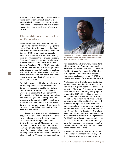S. 1606), but as of the August recess none had made it out of committee. If the 2012 election puts both houses of Congress in Republican hands, the chances of bills such as these making their way to the President's desk will increase.

## Obama Administration Holds up Regulations

House Republicans may have little need to legislate new barriers for regulatory agencies as the White House is already erecting them. The White House Office of Management and Budget (OMB) reviews significant regulations before they are finalized, and has long been a bottleneck in the rulemaking process. President Obama selected legal scholar Cass Sunstein to head OMB's Office of Information and Regulatory Affairs (OIRA), and under Sunstein the office has quashed altogether or delayed several rules that would protect lives and health. During the past year, one of the delays that most frustrated health and safety advocates was that of OSHA's rule on respirable crystalline silica.

Respirable crystalline silica has been known to be an occupational hazard for several centuries. It can cause irreversible fibrotic lung disease, and an estimated 1.7 million U.S. workers are exposed to it. On February 14, 2011, OSHA sent OIRA a proposed rule to limit occupational crystalline silica exposure. The executive order that gives OIRA the authority to review such rules limits the office's review time to four months, but as of this writing, the proposed silica rule had been stuck at OIRA for a year and a half.

Such delays are problematic not only because they slow the adoption of rules that can save lives, but because in practice they seem to serve the interests of regulated industries. During the first year of OIRA's review of the proposed silica standard, OMB staff hosted at least nine private meetings on the proposal, most of them with individuals who represented companies with a direct financial interest in silica regulation. "These closed door meetings



**Alan White, a 47-year-old foundry worker from Buffalo, N.Y., suffers from silicosis, a debilitating lung disease caused by exposure to silica dust.** 

with special interests are wholly inconsistent with your promise of openness and public participation," noted a January 2012 letter to President Obama from more than 300 scientists, physicians, and public health experts. They urged the President to direct OMB to complete its review of the proposed standard.

While making it difficult for agencies to finalize new regulations, the Obama administration has also required agencies to engage in a regulatory "look-back." A January 2011 executive order instructed each regulatory agency to submit to OIRA within 120 days a preliminary plan for reviewing significant existing regulations "to determine whether any such regulations should be modified, streamlined, expanded, or repealed so as to make the agency's regulatory program more effective or less burdensome in achieving the regulatory objectives." This is no doubt a worthwhile exercise, but creating new agency processes can draw resources away from more urgent needs. The USDA's hazardous-to-workers poultry rule is a product of this executive order, and suggests that agencies eager to comply with the President's instructions may overlook publichealth impacts of rule revisions.

In a May 2012 *In These Times* article "A Tale of Two Rules: Washington Bureaucracy and the Politics of Workplace Safety," Mike Elk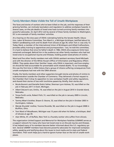#### Family Members Make Visible the Toll of Unsafe Workplaces

The faces and stories of workers who've been killed on the job, and the responses of their grieving families, can motivate lawmakers and regulators to address workplace hazards. In several cases, on-the-job deaths of loved ones have turned surviving family members into powerful advocates. An April 2012 visit by several of these family members to Washington, DC is one example of family members' activities.

At a hearing on the slow pace of OSHA rulemaking held by the Senate Health, Education, Labor & Pensions Committee, Tom Ward Jr., a Michigan bricklayer, testified about his father's sandblasting work and his death from silicosis at age 39, when Tom Jr. was only 13. Today Ward, a member of the International Union of Bricklayers and Allied Craftworkers, provides safety training to apprentices and journeyworkers – but, he told the committee, it is hard to believe that since his father's death in 1982, OSHA silica exposure limits have remained unchanged. Behind him in the audience sat other family members who had lost loved ones to occupational injuries and illnesses, holding poster-sized photos of victims.

Ward and five other family members met with OSHA's assistant secretary David Michaels and with the director of the White House's Office of Information and Regulatory Affairs (OIRA). They spoke about their families' losses, why OSHA is important, and how employers should be held accountable for preventable work-related deaths. To our knowledge, this was the first time in OIRA history that a group of citizens suffering consequences from unsafe workplaces had met with the OIRA director.

Finally, the family members and other supporters brought stories and photos of victims to a demonstration outside the Chamber of Commerce. They delivered a formal request to the Chamber that it drop its opposition to new workplace health and safety regulations, and shared their stories of loss with lunchtime passers-by. Briefly, their stories are:

**17**

- Nicole Boone's and Danielle Dole's father, Sherman Lynn Holmes, 55, was killed on the job in February 2011 in Evert, Michigan.
- • Albert DeLeon's son, Emilio, 19, was killed on the job in August 2010 in Grande Island, Nebraska.
- • Tonya Ford's uncle, Robert Fitch, 51, was killed on the job in January 2009 in Lincoln, Nebraska.
- Tammy Miser's brother, Shawn D. Boone, 33, was killed on the job in October 2003 in Huntington, Indiana.
- • Wendy Shurelds' mother, Yvonne Shurelds, 58, was killed on the job in August 2008 in Bluffton, Ohio.
- Tom Ward of Woodhaven, Michigan was 13 years old when his father, a bricklayer, died of silicosis at age 39.
- Alan White, 47, of Buffalo, New York is a foundry worker who suffers from silicosis.

The organization United Support and Memorial for Workplace Fatalities (USMWF) serves as a support network for many who have lost loved ones to on-the-job injuries and illnesses. It has helped many of its members become better informed about the U.S. regulatory system. Several USMWF members have become powerful advocates for improved workplace safety, speaking and testifying about the issues to local media and to state and federal lawmakers. Their work helps put a hard-to-ignore human face on the toll of unsafe workplaces.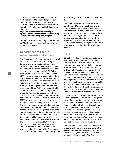contrasted the fate of OSHA's silica rule, which OMB has refused to release for public comment, to that of USDA's poultry rule, which OMB rushed to publish without even consulting OSHA officials about its likely impact on workers.

**http://www.inthesetimes.com/working/entry/13114/obama\_administration\_approves\_deregulatory\_workplace\_safety\_rule\_at\_lightni/**

In August 2012, Sunstein resigned his position as OIRA Director to return to his position at Harvard Law School.

## Department of Labor's Achievements and Setbacks

The Department of Labor's abrupt withdrawal of its proposed rule on children in agriculture was one of its most significant – and distressing – actions of the past year. It could still make an important improvement to the Fair Labor Standards Act (FLSA) if it follows through with a rule proposed in December 2011 to extend minimum-wage and overtime pay protections to home care workers who assist elderly and disabled patients with their daily needs. Currently, "companions for the elderly" are among the categories of workers exempted from FLSA, and the predictable result is that in most states, average hourly wages for Personal Care Aides – who help clients with bathing, dressing, eating, wound care, and other essential activities – are below 200% of the federal poverty level wage for full-time workers in one-person households. The main rationale for this rule change is that Congress's intent in exempting "companions for the elderly" from FLSA protections was to make it easy for neighbors and friends to help out the elderly in their communities — not to keep two million home care workers from earning fair wages. DOL calculates that under the proposed rule change, FLSA restrictions on overtime would reduce overtime hours worked, which would benefit the health of workers and their patients alike. The agency still lists the proposal on its regulatory agenda, but has not given an anticipated completion date.

OSHA and the Mine Safety and Health Administration (MSHA) are the Department of Labor agencies that address worker health and safety most directly. Both had noteworthy achievements over the past year, particularly more effective targeting of inspections of problematic worksites. But on the whole, worker health advocates are disappointed by results from what they thought was an administration committed to significantly improving workers' lives.

#### **OSHA**

OSHA finalized one important new standard over the past year: revisions to the Hazard Communication (HazCom) standard to incorporate provisions of the Globally Harmonized System of Classifications and Labeling of Chemicals. The aim is to improve chemical safety by harmonizing hazard communication information across the world. The revised OSHA HazCom standard will provide a common approach to classifying chemicals and improve the quality, consistency, and accessibility of chemical labels and material safety data sheets that inform workers about appropriate handling and safe use of hazardous chemicals. The new rule takes full effect in June 2016.

"Everyone working around hazardous chemicals and other toxic substances has a right to know of possible dangers and how to protect themselves," explained David Michaels, Assistant Secretary of Labor for Occupational Safety and Health, in the March 2012 announcement. "But the right to have labels or Material Safety Data Sheets did not always mean that it was easy for workers to *understand* that information. Today, with the new, globally harmonized standard, workers are now getting the right to understand."

OSHA estimates that its HazCom revisions will affect 42 million workers, prevent more than 500 occupational illnesses and injuries and 43 fatalities each year, and save U.S. businesses around \$1 billion annually. The American

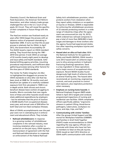Chemistry Council, the National Grain and Feed Association, the American Tort Reform Association, and other industry trade groups challenged the rule in the U.S. Court of Appeals, DC Circuit. They will reveal the specifics of their complaints in future filings with the Court.

The HazCom revision was finalized nearly six years after OSHA began the process with an advance notice of proposed rulemaking in September 2006. It turns out that this six-year process is relatively fast for OSHA. In April 2012, the Government Accountability Office (GAO) issued a report on OSHA standard setting. They found that during the 1981 - 2010 time period, it took OSHA an average of 93 months (nearly eight years) to develop and issue safety and health standards. GAO blamed shifting agency priorities, mounting procedural requirements, and inefficient datagathering processes (among other factors) for the slow pace of OSHA standards.

The Center for Public Integrity's Jim Morris highlighted the dragged-out process for OSHA standards on silica (the rule that has been stuck at OMB for 18 months now) and beryllium (an update of a woefully outdated exposure limit first calculated in 1949) in an in-depth article. Both silicosis and chronic beryllium disease leave workers struggling to breathe. Morris concludes that new regulations of these and other hazards would necessitate additional expenditures by employers – but he estimates that the price of inaction is 50,000 deaths from occupational diseases every year, and annual costs of \$58 billion for both fatal and non-fatal workplace illnesses.

Most of OSHA's accomplishments over the past year were not in rulemaking but in enforcement and educational efforts. They include:

• **Railroad whistleblowers:** In response to a growing number of whistleblower complaints in the railroad industry, most involving retaliation after a worker reported an on-the-job injury, OSHA signed a memorandum of agreement with the Federal Railroad Administration to cooperate on enforcement of the Federal Railroad

Safety Act's whistleblower provision, which protects workers from retaliation when they report safety violations or occupational injuries or illnesses. (OSHA is responsible for enforcing the whistleblower provisions of 22 statutes protecting workers in a wide range of industries.) Days after the agreement was announced (on July 16, 2012), OSHA ordered two railroad companies to pay a total of more than \$650,000 in back wages and damages to three workers who the agency found had experienced retaliation after reporting workplace injuries and safety concerns.

• **Hazard alert on silica at frack sites:** With the National Institute for Occupational Safety and Health (NIOSH), OSHA issued a June 2012 hazard alert on airborne exposure to silica among workers in hydraulic fracturing (fracking) operations. Sand is a key ingredient in these operations and a major source of occupational silica exposure. Recent NIOSH studies found dangerously high levels of airborne silica at several fracking sites. The hazard alert recommends air monitoring, engineering controls, and work practices to control dust exposure, plus respiratory protection when necessary.

- • **Emphasis on nursing home hazards:** A National Emphasis Program (NEP) established in April 2012 targets and conducts programmed inspections of nursing and residential care facilities. OSHA compliance officers specifically address "ergonomic stressors in patient lifting, blood-borne pathogens, tuberculosis, workplace violence, and slips, trips, and falls."
- • **Communicating with victims' families:** After the groups United Support and Memorial for Workplace Fatalities (USMWF) and Families in Grief Hold Together (FIGHT) made recommendations to OSHA regarding the way agency officials communicate with those who have lost family members to fatal on-the-job injuries, OSHA issued an April 2012 directive on OSHA staff's communication with victims'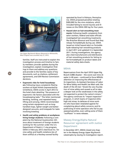

**The Upper Big Branch Miners Memorial in Whitesville, West Virginia was unveiled July 27, 2012.** 

families. Staff are instructed to explain the investigation process and timeline to family members; provide updates during the investigation; explain investigation findings to them and address any questions; and provide to the families copies of key documents, such as citations, settlement agreements, and OSH Review Commission decisions.

- • **Ergonomic risks for hotel housekeepers:** Following injury complaints filed by workers at Hyatt Hotels (represented by UniteHere), OSHA wrote in April 2012 to the hotel chain detailing "the presence of ergonomic risk factors associated with the housekeeping tasks." The letter mentioned bending, twisting, and repeated heavy lifting and carrying. OSHA recommended using certain equipment such as longhandled mops, lighter-weight and betterdesigned vacuums, and kneepads for tasks involving kneeling.
- **Health and safety problems at workplaces hiring foreign students:** Following a complaint by the National Guestworker Alliance about treatment of foreign students working for the summer under the U.S. Department of State's J-1 visa program, OSHA in February 2012 cited Excel Inc. for nine safety and health violations (six of them willful) at a Hershey-owned facility

operated by Excel in Palmyra, Pennsylvania. OSHA proposed penalties totaling \$283,000 for the nine violations, which included failing to record injuries and illnesses on the OSHA 300 log for four years.

**Hazard alert on hair-smoothing treatments:** Following health complaints from salon workers, federal and state officials investigated hair-smoothing treatments like Brazilian Blowout and found that they release formaldehyde during use. OSHA issued an initial hazard alert on formaldehyde-releasing hair smoothing products in April 2011 and updated it in September 2011. During investigations, the agency also cited manufacturers and distributors of hair smoothing products for failing to list formaldehyde on product labels and material safety data sheets.

#### **MSHA**

Repercussions from the April 2010 Upper Big Branch (UBB) disaster – the worst coal mine disaster in 40 years – continued to focus MSHA's attention on improving the effectiveness of its inspections. As Assistant Secretary of Labor for Mine Safety and Health Joe Main said, the death of the 29 men "shook the very foundation of mine safety and caused us all to take a deeper look at the weaknesses in the safety net expected to protect the nation's miners." The agency continues its "impact inspection" program, in which teams of inspectors blitz high-risk mines; its defense of mine workers who have been retaliated against for complaining about safety concerns; and its publicizing of mine operators who fail to pay assessed penalties, even calling some of them "scofflaws" in news releases.

#### Massey Energy/Alpha Natural Resources' agreement with Justice **Department**

In December 2011, MSHA closed one chapter in the Massey Energy Upper Big Branch catastrophe by issuing its investigation report.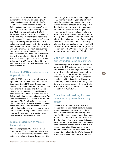Alpha Natural Resources (ANR), the current owner of the mine, was assessed a \$10.8 million civil penalty for hundreds of safety violations identified after the disaster. The full penalty amount was paid by ANR as part of a non-prosecution agreement signed with the U.S. Department of Justice (DOJ). The firm agreed to spend at least \$209 million to fund safety improvements at its operations as well as academic research on mine safety, and to pay off Massey Energy's \$34.8 million in delinquent penalties and restitution to victims' families and two survivors. For two years, ANR will make progress reports at least every six months to the Justice Department. Part of the \$209 million is a \$48 million research fund that will be administered by Keith A. Heasley, PhD, MS of West Virginia University; Michael E. Karmis, PhD of Virginia Tech; and David H. Wegman, MD, MPH of the University of Massachusetts Lowell.

#### Reviews of MSHA's performance at Upper Big Branch

In March 2012, two other groups issued investigation reports on UBB. An internal review team comprised of MSHA staff found that inspectors had failed to inspect key parts of the mine prior to the disaster and that enforcement activities were compromised because both inspectors and their supervisors failed to follow established policies and procedures. The internal review team concluded, however, that missteps by MSHA staff did not cause the explosion. In contrast, a team convened by NIOSH at the request of Labor Secretary Hilda Solis opined that had the agency engaged in timely enforcement of its regulations, "it would have lessened the chance of – and possibly could have prevented – the UBB explosion."

#### Federal prosecution of Massey Energy officials

Massey Energy's security director, Hughie Elbert Stover, 60, was sentenced in February 2012 for two felonies: lying to federal investigators and trying to destroy documents. U.S.

District Judge Irene Berger imposed a penalty of 36 months in jail, two years of probation, and a \$20,000 fine, but rejected the U.S. Attorney's assertion that Stover was culpable in the disaster. Later in the month, mine superintendent Gary May, 43, was charged with conspiracy to "hamper, hinder, impede, and obstruct the lawful government functions of the Department of Labor and MSHA in the administration and enforcement of mine health and safety laws at UBB." The U.S. Attorney said his office had reached an agreement with Mr. May on future charges in exchange for his cooperation with DOJ's ongoing investigation of more senior Massey Energy officials.

#### One new regulation to better protect underground coal miners

The Upper Big Branch disaster created an opportunity for MSHA to propose and finalize improvements to its existing requirements for pre-shift, on-shift, and weekly examinations in underground coal mines. The new rule, which was issued in April 2012, requires mine examiners to identify and record hazardous conditions, as well as health and safety violations, and to post a notice in the area visible to anyone entering or passing by it. The rule took effect in August 2012.

**21**

#### Coal miners still waiting for new regulation to prevent black lung disease

When MSHA proposed in 2010 regulatory changes to help eliminate black lung disease, even Vice President Biden got in on the action. "In America in the 21st century," the Vice President said, "workers should not have to risk illness or death in order to provide for their families … This rule will provide today's miners with long-overdue protections against needless threats to their health." The public comment period and hearings on the proposed rule ended in June 2011. MSHA has yet to submit a final rule to the White House's Office of Management and Budget for review.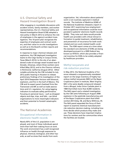## U.S. Chemical Safety and Hazard Investigation Board

After engaging in roundtable discussions with accident victims, family members, and worker representatives, the U.S. Chemical Safety and Hazard Investigation Board (CSB) adopted a new policy in March 2012 to enhance the role of employees in the agency's accident investigations. The 10-point plan recognizes the expertise of employees and contract workers, and their value to on-site investigations as well as to the Board's written reports and recommendations.

In response to major chemical releases and explosions, the CSB deployed investigation teams to the Citgo facility in Corpus Christi, Texas (March 2012); to the site of an abandoned crude-oil storage vessel located near El Dorado, Arkansas, where three workers were killed (May 2012); and to the Chevron refinery in Richmond, California (August 2012). Other notable activities by the CSB included its July 2012 public hearing in Houston to release preliminary findings of its investigation of the April 2010 Deepwater Horizon well blowout, explosion, and fire in the Gulf of Mexico. The CSB and its expert panel chastised firms like Transocean and BP, as well as trade associations and U.S. regulators, for using lagging indicators to evaluate safety performance. Focusing on personal injury – such as dropped objects and slips, trips, and falls – can blind organizations to more meaningful indicators and their potential to foretell catastrophic accidents.

## The National Academies

#### Occupational information in electronic health records

Nearly 60% of the U.S. population is employed, and most of these individuals spend more than half their waking hours at work. The work environment has a well-recognized influence on health through exposures to physical, chemical, biological, and other hazards, as well as stress that results from work

organization. Yet, information about patients' work is not routinely captured in medical records. The Institute of Medicine (IOM) of the National Academies released a report in October 2011 examining how employment and occupational information could be incorporated in patients' electronic health records (EHRs). They note such data would provide health care providers with critical clinical information to guide treatment, rehabilitation, and prevention of recurrence for both workrelated and non-work-related health conditions. The IOM report comes at a time when the standard core elements of EHRs are being developed pursuant to a 2009 federal law, known as HITECH, which also provides a financial incentive for EHRs to be widely adopted by healthcare providers.

#### Methyl isocyanate and risk-reduction practices

In May 2012, the National Academy of Sciences released a congressionally mandated report on the large inventory of highly hazardous methyl isocyanate (MIC) at the Bayer CropScience plant in Institute, West Virginia. MIC is the same deadly compound released from a Bhopal, India Union Carbide plant in 1984 that killed more than 8,000 residents. The NAS report and a related investigation by the CSB came following an August 2008 explosion in the pesticide manufacturing unit of the Bayer CropScience plant that killed workers Bill Oxley, 58, and Barry Withrow, 45. The NAS panel expanded the focus of their report to examine chemical manufacturers' risk-reduction decision-making, including how firms decide which products they make and use. These decisions have important implications for workers and the communities where the facilities are located.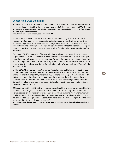#### Combustible Dust Explosions

In January 2012, the U.S. Chemical Safety and Hazard Investigation Board (CSB) released a report on three combustible dust fires that happened at the same facility in 2011. The fires at the Hoeganaes powdered metal plant in Gallatin, Tennessee killed a total of five workers and injured three others.

**http://www.csb.gov/newsroom/detail.aspx?nid=395**

Accumulations of dust – fine particles of metal, coal, wood, sugar, flour, or other substances – are fuel sources that can readily ignite into deadly fires. Engineering controls, housekeeping measures, and employee training on fire prevention can keep dust from accumulating and catching fire. The CSB investigation found that the Hoeganaes company knew combustible dust was present in the plant but failed to take the appropriate safety measures.

On January 31, 2011, particles of iron dust ignited while workers were fixing an elevator; on March 29, a similar flash fire burned another worker; and on May 27, a hydrogen explosion (due to leaking gas from a corroded furnace pipe) shook loose accumulated iron dust from high in the building, which quickly ignited and fell on the workers below. These three incidents killed workers Rick Lester, John Eric Holsey, Wiley Sherburne, Vernon Corley, and Fred Tuttle.

In May 2012, Chris Hamby of the Center for Public Integrity published an in-depth piece on the Hoeganaes fires and the combustible dust problem. A Center for Public Integrity analysis found that since 1980, more than 450 accidents involving dust have killed nearly 130 workers and injured more than 800 – and those are just the incidents that have been reported to OSHA and the CSB. "Yet a push to issue a rule protecting workers from the danger has stalled in the face of bureaucratic hurdles, industry pushback and political calculations," Hamby reports.

OSHA announced in 2009 that it was starting the rulemaking process for combustible dust, but made little progress on it and has moved the hazard to its "long-term actions" list. Hamby reports on the reaction of Chris Sherburne, whose husband Wiley Sherburne was fatally burned at the Hoeganaes plant, to the news that combustible dust rulemaking is no longer a top OSHA priority: "I just couldn't believe it," she said. "You put it on the back burner, and that's where it's going to stay."

**[http://www.publicintegrity.org/2012/05/29/8957/unchecked-dust-explosions-kill-injure-hundreds](http://www.publicintegrity.org/2012/05/29/8957/unchecked-dust-explosions-kill-injure-hundreds-workers)workers**

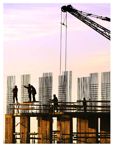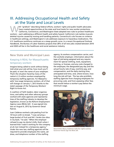# III. Addressing Occupational Health and Safety at the State and Local Levels

Ith "gridlock" describing federal efforts, workers' rights and public health advocates<br>
California, Connecticut, and Washington State adopted new rules to protect healthcare<br>
California, Connecticut, and Washington State a have created opportunities at the state and local levels for new worker protections. workers – each addressing a different health and safety hazard. California's rule tackles musculoskeletal injuries caused by moving and handling patients, Connecticut's rule focuses on violence in healthcare settings, and Washington's rule addresses exposure to hazardous medications. The U.S. healthcare workforce continues on a steep growth curve. In a recent Occupational Outlook Handbook, the Bureau of Labor Statistics projects that 28% of all new jobs created between 2010 and 2020 will be in the healthcare and social assistance industry.

## New State and Municipal Laws

## Keeping it REAL for Massachusetts temporary workers

Imagine being called to work without being told what your job will be, how much you'll be paid, or even the name of your employer. That's the situation faced by many of the nation's 2.3 million workers employed by temporary staffing agencies. For Massachusetts' low-wage temporary workers, all of that will change on January 1, 2013 thanks to the state's passage of the Temporary Workers' Right to Know Act.

A coalition of faith leaders, labor organizations, and safety and other advocacy groups worked with state agencies and representatives of the staffing industry to develop the legislation, known as the Reform Employment Agency Laws (REAL) bill. It was signed into law on August 6, 2012 by Governor Deval Patrick.

Juan Calderas worked a job peeling fruit for 10 hours with no break. "I was carrying a large bucket of fruit and fell. I broke two discs in my back," he said. "When the employer refused to pay my doctor's bills, that's when I learned that I wasn't working for the company at all, but instead for a temporary agency." Under the new law, staffing agencies will be required to provide employees the name, address, and telephone number of the staffing

agency, its workers compensation carrier, and the worksite employer; information about the type of job being assigned and any requirement for special clothing, tools, equipment, training, or licenses, and any costs charged to the employee; the designated pay day and the actual hourly rate of pay, overtime pay, and compensation; and the daily starting time, anticipated end time, and, where known, how long the job will last. The law also prohibits staffing agencies from charging employees for procuring a job, and from assessing other fees that would reduce a worker's pay below the minimum wage.



**MassCOSH's Marcy Goldstein-Gelb (far right) watches Governor Patrick sign the REAL bill.**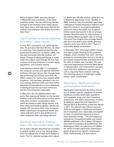Marcy Goldstein-Gelb, executive director of MassCOSH and coordinator of the REAL Coalition, noted "this law will bring essential sunlight to the shadows where these abuses have taken place, and help ensure fairness for workers and employers who follow the state's labor laws."

#### City of Durham scrutinizes potential contractors' safety records

In June 2011, contractors Luis Castaneda Gomez, 34, and Jesus Martinez Benitez, 32, died in a manhole. Their deaths focused the city government's attention on worker safety. The city had contracted with the workers' employer, Triangle Grading and Paving, to make water line repairs, even though the firm had a history of serious violations of worker safety regulations, and a worker fatality.

Local television station NBC-17 investigated the company's record, and reporter Charlotte Huffman informed viewers that Triangle Grading and Paving had received more than 60 OSHA citations for construction-related safety violations – but had been awarded a city contract anyway. National COSH and other safety advocates forced attention to the inadequate screening process for city-hired contractors, and the City of Durham responded.

In May 2012, the city implemented a new policy that requires all bidders on city-funded projects to provide information on their injury rates; their workers' compensation rates, which are based on their safety records; and their safety and health programs. Worker advocates will now press other cities to require bidder reporting of occupational health and safety indicators and to give preference to safer companies when awarding contracts.

#### Wyoming responds to 'fracking' boom with new worker safety rules

For at least a decade, Wyoming has consistently ranked number one or two among states with the highest rate of fatal work-related injuries. The U.S. national average rate is about

3.6 deaths per 100,000 workers, while the rate in Wyoming approaches 12 per 100,000. In 2009, Governor Dave Freudenthal appointed a Workplace Fatality Prevention Taskforce and asked the group to recommend legislative actions to reduce the death toll. A subcommittee examining hazards in the oil and gas industry identified areas for improvement in the existing Wyoming OSHA rules on drilling. This sector has a higher-than-average fatality rate and is the state's most rapidly growing industry–9.2% from 2010 to 2011. That is a potentially deadly combination.

In December 2011, Wyoming's OSHA Commission held a public meeting on the proposed changes, which included "hot work" permits, emergency communication lines at a rig site to the nearest medical facility, and fall protection for work at heights over four feet. The new rules were approved by Governor Matt Mead in February 2012, with enforcement commencing in July 2012. Additional improvements, such as requiring flame-resistant clothing and reducing exposure to hydrogen sulfide, remain under consideration.

#### Washington: Healthcare workers and hazardous medications

Washington State became the first in the nation to adopt a specific regulation to protect healthcare workers potentially exposed to anti-neoplastic drugs and other hazardous medications. The state's Department of Labor & Industries issued the final regulation in January 2012 as directed by a state law passed in 2011. The rule will take effect in January 2014 and will apply to healthcare facilities in which employees are "reasonably anticipated" to have "occupational exposure to one or more hazardous drugs." The CDC's National Institute for Occupational Safety and Health (NIOSH) published a list of about 150 agents that meet its hazardous drug definition. The Washington State rule references the NIOSH list, which includes well-known chemotherapeutic drugs such as cisplatin, fluorouracil (5FU), methotrexate, and doxorubicin.

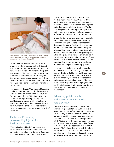

**Personal care aides are currently exempt from the Fair Labor Standards Act and its provitions for minimum wage and overtime pay (see p. 18)** 

Under the rule, healthcare facilities with employees who are reasonably anticipated to have exposure to hazardous drugs will be required to develop a "hazardous drugs control program." Program components include a written inventory of hazardous drugs in the workplace, engineering controls such as biological safety cabinets and laboratory fume hoods, and spill control and waste handling procedures.

Healthcare workers in Washington State give credit to reporter Carol Smith of Investigate West for bringing attention to the issue of "second-hand chemo." Her July 2010 series "Lifesaving Drugs, Deadly Consequences" profiled several cancer-stricken healthcare workers and the public health researchers who have studied the problem for decades and urged safety protections for workers at risk of exposure.

#### California: Preventing career-ending injuries for healthcare workers

"Saving backs and bucks" is one way the Nurse Alliance of California described the safe patient handling law signed in December 2011 by Governor Jerry Brown. The Golden

State's "Hospital Patient and Health Care Worker Injury Protection Act" makes it the tenth state to adopt regulations designed to protect healthcare workers from back injuries and other musculoskeletal disorders. The law is also expected to reduce patient injury rates and generate savings for employers because of fewer lost workdays and insurance claims.

Under the California law, acute care hospitals are now required to replace manual lifting and transferring of patients with mechanical devices or lift teams. The law gives registered nurses a special role to determine the appropriate patient handling technique, depending on the clinical situation. It also explicitly prohibits a hospital or its managers from disciplining a healthcare worker who refuses to lift, reposition, or transfer a patient due to concerns about patient or worker safety or the lack of trained lift team personnel or equipment.

In the past, the California Hospital Association had succeeded in blocking the legislation, but not this time. California healthcare workers convinced their state legislators that the law was necessary to improve patient safety and prevent career-ending injuries. The other states with safe patient handling regulations are Illinois, Maryland, Minnesota, New Jersey, New York, Ohio, Rhode Island, Texas, and Washington.

## Advancing public health and worker safety in Seattle: Paid sick leave

The Seattle, Washington City Council took a historic step in September 2011 for public health and worker safety by requiring employers in the city to provide their full-time employees at least five days of paid sick leave per year. The new law takes effect in September 2012. "Going to work sick or losing pay" is not a choice that Seattle workers should be forced to make, said the bill's sponsor. Preventing the spread of infectious disease is an obvious benefit of the new law, but as NIOSH researchers reported earlier this year, workers with access to paid sick leave were 28% less likely to be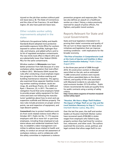injured on the job than workers without paid sick leave (see p. 8). The State of Connecticut, and the cities of San Francisco, CA and Washington, DC also have paid-sick-leave laws.

#### Other notable worker safety improvements adopted in the states

California's Occupational Safety and Health Standards Board adopted more-protective permissible exposure limits (PELs) for workers exposed to carbon disulfide, hydrogen fluoride, and toluene, and added sulfuric acid to its list of regulated workplace contaminants. The new limits took effect in March 2012 and are substantially lower than federal OSHA's PELs for the same contaminants.

Window washers in **Minnesota** now have better protection from falls because of a new workplace safety regulation that took effect in March 2012. Minnesota OSHA issued the rules after conducting a local emphasis inspection program in the window-washing and building-maintenance industries. The agency also examined three separate fatalities involving workers washing windows: Jacob Jennings, 20, and Bryan Prairie, 24, in 2009 and Ryan J. Shannon, 25, in 2011. The state's investigation found that some employers failed to provide proper safety equipment for their crews and were not following the manufacturers' guidelines about how to erect and use suspension scaffolds and lifelines properly. The new rules include provisions on proper anchor points, use and inspection of equipment, and rope descent systems.

**Connecticut's** law to protect healthcare workers from work-related violence took effect in October 2011. Public Act No. 11-175 requires employers with 50 or more full- or part-time employees, including those employed at substance abuse and residential treatment facilities, to establish a labor-management committee to address issues related to health and safety, to conduct an annual risk assessment of workplace violence, and to collaborate with the safety committee to implement a violence

prevention program and response plan. The law also defines an assault on a healthcare worker as a class C felony, a status previously reserved for assault of police officers, fire fighters, and public transit workers.

## Reports Relevant for State and Local Governments

State and local legislators interested in improving their states' economies and quality of life can turn to these reports for ideas about initiatives and legislation that can improve working conditions – with implications for the broader economy.

*"The Price of Inaction: A Comprehensive Look at the Costs of Injuries and Fatalities in Maryland's Construction Industry,"* Public Citizen, August 2012.

In the three-year period of 2008 through 2010, 55 construction workers in Maryland were killed on the job, and an estimated 11,000 construction workers were injured. The authors assembled data on the direct, indirect, and quality-of-life costs associated with Maryland incidents to calculate their total economic burden: \$712.8 million. Public Citizen recommends the state pre-qualify firms for public contracts using a variety of safety criteria.

**http://www.citizen.org/price-of-inaction-marylandworker-safety-report**

#### *"Houston, We Have a Wage Theft Problem: The Impact of Wage Theft on our City and the Local Solutions Necessary to Stop it,"* Houston Interfaith Worker Justice, May 2012.

Over the last five years, the staff and worker leaders at Houston Interfaith Worker Justice have recovered nearly \$700,000 in stolen wages from employers who failed to pay properly workers they had hired for construction, restaurant, and other work. The authors examined the economic, social, political, and legal contexts that allow wage theft to con-

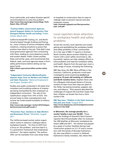tinue nationwide, and makes Houston-specific recommendations to solve the problem. **[http://www.hiwj.org/images/stories/Wage\\_Theft\\_](http://www.hiwj.org/images/stories/Wage_Theft_Report_May_2012.pdf) Report\_May\_2012.pdf**

#### *"Contract Killers: Government Agencies Award Taxpayer Dollars to Contractors That Disregard Worker Health and Safety,"* Public Citizen, March 2012.

California-based RPI Coating, Inc. and North Carolina-based Triangle Grading and Paving, Inc., have a history of serious workplace safety violations, creating situations so grave that workers have died on the job. That didn't stop local government agencies from contracting with them, leading to more disastrous results and worker deaths. Public Citizen profiles these and similar cases, and recommends that federal, state, and local agencies assess a firm's safety performance before doling out taxpayer funds.

**[http://citizen.org/contract-killers-worker-safety](http://citizen.org/contract-killers-worker-safety-report)report**

#### *"Independent Contractor Misclassification Imposes Huge Costs on Workers and Federal and State Treasuries,"* National Employment Law Project, October 2011.

Studies and audits conducted in 20 states find consistent and troubling evidence of employees being misclassified by their employers as independent contractors. The rate of misclassification ranges from 10% to 62%. The annual losses to state unemployment and income tax funds exceed hundreds of millions of dollars.

**[http://www.nelp.org/page/-/Justice/2010/Indepen](http://www.nelp.org/page/-/Justice/2010/IndependentContractorCosts.pdf?nocdn=1)dentContractorCosts.pdf?nocdn=1**

#### *"Prevention Pays: Solutions to Help Workers and Businesses Thrive,"* WorkSafe, August 2011.

The California-based worker justice organization wants to advance a dialogue about workplace hazards. "It's time to shift from a focus on 'the problem,' and how bad it is, to a prevention framework that emphasizes solutions," the report explains. The authors offer can-do examples from auto body shops to hospitals to construction sites on ways to redesign tasks to prevent injuries and save employers money.

**[http://worksafe.typepad.com/files/prevention\\_](http://worksafe.typepad.com/files/prevention_pays_web.pdf) pays\_web.pdf**

## Local reporters draw attention to workplace health and safety problems

Across the country, local reporters are investigating and spotlighting the workplace health and safety problems in their communities. As in the case of NBC-17 reports in Durham, North Carolina about workers killed by a contractor with a poor safety record (see p. 26), journalists' reports can help catalyze efforts to solve problems and improve workplace safety and health. Reports from the past year cover a wide range of issues, including the following:

NBC Bay Area, the NBC News affiliate in San Francisco, California, produced a multi-part investigative series examining **workers as young as 10 years old working on California and North Carolina farms.** Stephen Stock and his colleagues interviewed dozens of young workers to learn how their days are spent in the fields, harvesting tomatoes, peppers, berries, and tobacco. Their parents described the challenges of migrant life and their hopes that their children can break free from a farmworker's life.

#### **NBC Bay Area, "Children in the field: American kids pick your food,"** August 2012.

**[http://www.nbcbayarea.com/investigations/series/](http://www.nbcbayarea.com/investigations/series/children-in-the-field/) children-in-the-field/** 

**In Wisconsin, the average penalty for a worker fatality is just over \$4,000.** Those were the findings of Gannett's *Post-Crescent* reporter Nick Penzenstadler after he reviewed the 240 fatalities at Wisconsin workplaces between 2000 and 2011. His interest was piqued by a spate of worker fatalities during road construction projects on U.S. 41 and a connection with the family of Brandan Kalmerton, 26, who was killed in a trench in Oshkosh. Kalmerton's family members, like others Pen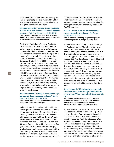zenstadler interviewed, were shocked by the inconsequential penalties imposed by OSHA and laws that prevent victims' families from suing the responsible employer.

**Nick Penzenstadler, "Wisconsin companies insulated from stiff penalties in worker deaths,"** Appleton (WI) Post-Crescent, July 21, 2012. **http://www.postcrescent.com/article/20120722/ [APC0101/307220165/Wisconsin-companies-insulat](http://www.postcrescent.com/article/20120722/APC0101/307220165/Wisconsin-companies-insulated-from-stiff-penalties-worker-deaths)ed-from-stiff-penalties-worker-deaths**

Northwest Public Radio's Jessica Robinson drew attention to the **disparity in federal safety rules for underground metal miners compared to their coal mining counterparts.** Her investigation started after the April 2011 death of Larry Marek, 53, in Hecla Mining's Lucky Friday mine, where it took nine days to recover his body from 6,000 feet underground. While Robinson was exposing the company's and MSHA's failure to implement recommendations from the agency's geologist that could have prevented the rockburst that killed Marek, another miner, Brandon Gray, 26, was killed at the same mine. Seven miners were injured in another event, just a month later. Robinson interviewed survivor Mike Marek, Larry's brother and mining partner, who spoke about feeling guilty for not speaking up about how management's decisions created new hazards.

#### **Jessica Robinson, "Family of killed miner says company's decision caused collapse."** Northwest Public Radio, July 11, 2012. **[http://nwpr.org/post/family-killed-miner-says-com](http://nwpr.org/post/family-killed-miner-says-company-s-decision-caused-collapse)pany-s-decision-caused-collapse**

California Watch, in collaboration with the Investigative Reporting Program at UC Berkeley's Graduate School of Journalism, delved into city and state records and found evidence of **inadequate oversight for the state's composting industry.** In October 2011, brothers Armando Ramirez, 16, and Heladio Ramirez, 22, were fatally poisoned by hydrogen sulfide gas, which is often released from sewage, while cleaning out a storm water drain at the Community Recycling & Resource Recovery facility near Bakersfield, California. William Harless reported that although composting facilities have been cited for serious health and safety violations, no government agency was regularly monitoring Community Recycling for hydrogen sulfide, and the facility was not on Cal/OSHA's radar.

#### **William Harless, "Growth of composting strains oversight of industry."** California Watch, March 7, 2012.

**[http://californiawatch.org/dailyreport/growth](http://californiawatch.org/dailyreport/growth-composting-strains-oversight-industry-15166)composting-strains-oversight-industry-15166**

In the Washington, DC region, the *Washington Post* interviewed Metrobus drivers and learned about an easy-to-overlook health hazard: **inadequate time and facilities for bus drivers to take bathroom breaks.** Reporter Dana Hedgpeth talked to Amalgamated Transit Local 689 President Jackie Jeter and learned that Jeter "hears of at least one incident each quarter where a Metrobus operator has developed a problem, usually a urinary tract infection, related to having to wait too long to use a bathroom." Drivers may or may not have time to use restrooms during layovers between routes. A workaround used often by drivers in the past – stopping by a federal office building and using their facilities – has become harder as building security has tightened.

#### **Dana Hedgpeth, "Metrobus drivers say tight schedules don't leave enough time for bathroom breaks."** Washington Post, December 30, 2011.

**http://www.washingtonpost.com/local/com[muting/metrobus-drivers-say-tight-schedules](http://www.washingtonpost.com/local/commuting/metrobus-drivers-say-tight-schedules-dont-leave-enough-room-for-bathroom-breaks/2011/12/22/gIQAZLdbQP_story.html)dont-leave-enough-room-for-bathroombreaks/2011/12/22/gIQAZLdbQP\_story.html**

No one is better positioned to make comparisons between OSHA's and MSHA's inspection systems than the *Charleston (WV) Gazette's*  Ken Ward Jr. He did exactly that in stories examining **worker fatalities at several West Virginia companies.** The paper's readers are familiar with federal inspectors' frequent presence at the state's coal mines, but with Ward's reporting, they learned that a decade may pass before some large plants ever see an OSHA inspector. Those infrequent inspections may come only after a worker is killed on the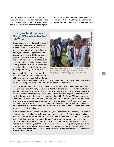job. On the Gazette's blog Sustained Outrage, Ward has kept readers apprised of the U.S. Chemical Safety Board's activities, several of which involve worksites in West Virginia;

the love-hate relationship between chemical workers in Nitro, West Virginia and their employer Monsanto; and the Obama Administra-

#### Los Angeles District Attorney Charges UCLA in Burn Death of Lab Worker

Efforts to improve workplace health and safety often focus on passing legislation, but the extent to which lawbreakers are cited and prosecuted also influences employers' policies and practices. The death of University of California Los Angeles (UCLA) lab assistant Sheri Sangji is just one of many occupational fatalities that resulted from inadequate employer safety practices – but, unlike most workrelated deaths in the US, it has resulted in felony charges against those involved.

Sheri Sangji, 23, had been working for only three months in the laboratory of UCLA chemistry professor Patrick Harran,



**UCLA lab assistant Sheri Sangji, 23, was an avid soccer player and participated in a Los Angeles women's soccer league. She is shown here at a soccer tournament shortly before her January 2010 death.** 

PhD when she suffered severe burns from tert-butyllithium, a substance the spontaneously ignites when exposed to air. She died 18 days later from her injuries.

A year after the tragedy, Cal/OSHA's Bureau of Investigations recommended that Professor Harran and the University of California Board of Regents be charged with involuntary manslaughter and felony labor code violations. In December 2011, the Los Angeles District Attorney filed felony charges against Harran and the Board of Regents. The counts included violations of occupational safety standards adopted by California OSHA on hazardous chemicals in laboratories and training on their safe use, on personal protective equipment, and on emergency response procedures. Felony charges against the University of California regents were dropped in July 2012 when the University system agreed to implement extensive safety measures and establish a scholarship in Sangji's name. Harran is due back in court in early September 2012.

In an in-depth July 2012 article about this case, the Center for Public Integrity's Jim Morris reported that criminal repercussions are not unprecedented in California; between 2001 and 2011, Cal/OSHA referred 486 cases, most of them worker deaths, to district attorneys, and 174 of them resulted in criminal charges. "You know, we have put owners of companies, supervisors, foremen in jail," Cal/OSHA chief Ellen Widess told Morris. "That is noticed. We're definitely looking for these cases to make … an impression, leave nothing unspoken and unclear about the severity of the punishment that will be meted out." **http://www.publicintegrity.org/2012/07/27/10313/landmark-worker-death-case-continues-againstucla-chemistry-professor**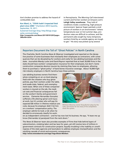tion's broken promise to address the hazard of combustible dust.

**Ken Ward, Jr., "OSHA hadn't inspected fatal plant since 2000."** Charleston (WV) Gazette, September 19, 2011.

Sustained Outrage blog: http://blogs.wvgazette.com/watchdog/

**http://wvgazette.com/News/201109191293?page= 2&build=cache**

In Pennsylvania, *The Morning Call* interviewed current and former workers at Amazon.com's **Lehigh Valley warehouse.** They told of conditions inside a sweltering, high-pressure environment. Spencer Soper painted a vivid picture of workers in an environment "where temperatures soar on hot summer days, production rates are difficult to achieve, and the permanent jobs sought by many temporary workers hired by an outside agency are tough to get." His story was picked up by several

#### Reporters Document the Toll of "Ghost Policies" in North Carolina

The Charlotte, North Carolina *News & Observer* investigated and reported on the deceptive practice of some businesses that misclassify their employees as contractors, with consequences that can be devastating for workers and costly for law-abiding businesses and the state. Journalists Mandy Locke and David Raynor reported that at least 30,000 firms in the state should have workers' compensation insurance for their employees, but don't. Some construction companies deceive insurers by claiming they have no employees, allowing them to purchase a "ghost policy" of bare-bones insurance coverage. About 16,000 highrisk-industry employers in North Carolina have these policies.

Law-abiding business owners find themselves competing on an un-level playing field with the cheaters who buy ghost policies, pay their workers under the table, and evade state, federal, and unemployment taxes. When one of these companies' workers is injured on the job, the medical costs and financial consequences fall on the worker's family and government services. Clemente Hernandez Gonzalez suffered a life-altering spinal cord injury at work, but it's unclear who will pay his expected \$8 million in lifetime medical care costs, because his employer didn't list him on a workers' compensation policy. The employer admits he took a risk when he decided to erroneously classify his work-

**32**



**Whitman Masonry owner Doug Burton plays by the rules, but knows far too many of his competitors cheat the system.**

ers as independent contractors – and he has now lost his business. He says, "It tears me up know [Hernandez is] paralyzed from the neck down."

The *News & Observer* team also provides examples of firms that hide behind layers of subcontractors, violating labor and tax laws for years, yet still receive tens of millions in government contracts for construction projects. Equally troubling is the inability or unwillingness of the state agencies and lawmakers to address employee misclassification and the resulting cascade of social and economic consequences. **http://www.newsobserver.com/tags/?tag=Ghost+Workers**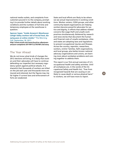national media outlets, and complaints from customers poured in to the company, prompting it to provide further details about working conditions and the numbers of full-time and temporary employees at the warehouse in question.

#### **Spencer Soper, "Inside Amazon's Warehouse: Lehigh Valley workers tell of brutal heat, dizzying pace at online retailer."** The Morning Call, September 18, 2011.

**http://www.mcall.com/news/local/mc-allentown[amazon-complaints-20110917,0,7937001,full.story](http://www.mcall.com/news/local/mc-allentown-amazon-complaints-20110917,0,7937001,full.story)**

## The Year Ahead

We do not know what kinds of changes the 2012 elections will bring. It is likely that workers and their advocates will have to continue defending our imperfect but necessary regulatory system against political attacks. It is shameful that thousands of workers are killed on the job each year and thousands more are injured and sickened, but the figures may rise far higher if current laws and enforcement efforts are weakened.

State and local efforts are likely to be where we see actual improvements in working conditions. Worker centers, COSH groups, and other community-based organizations are helping workers become powerful advocates for justice and dignity, in efforts that address related concerns like wage theft and unsafe work practices simultaneously. Bolstered by research and news stories that document the human and financial costs of unsafe workplaces, cities and states are adopting laws and regulations to prevent occupational injuries and illnesses. Across the country, reporters, researchers, workers, victims' families, faith organizations, and local groups, plus better-known national advocacy organizations and unions, are learning more about workplace problems and coming together to address them.

This report is our first annual overview of U.S. occupational health and safety activities. Until all workplaces are, in the words of the Occupational Safety and Health Act, "free from recognized hazards that are causing or are likely to cause death or serious physical harm" to workers, we will have more to report.

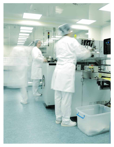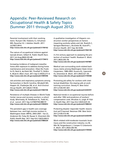# Appendix: Peer-Reviewed Research on Occupational Health & Safety Topics (Summer 2011 through August 2012)

Parental involvement with their working teens. Runyan CW, Vladutiu CJ, Schulman MD, Rauscher KJ. *J Adolesc Health. 2011 Jul;49(1):84-6.* 

**http://www.ncbi.nlm.nih.gov/pubmed/21700162**

The nature of occupational violence against taxicab drivers. Gilbert B. *Public Health Nurs.* 2011 Jul-Aug;28(4):335-48. **http://www.ncbi.nlm.nih.gov/pubmed/21736612**

Increasing incidence of malignant mesothelioma after exposure to asbestos during home maintenance and renovation. Olsen NJ, Franklin PJ, Reid A, de Klerk NH, Threlfall TJ, Shilkin K, Musk B. *Med J Aust.* 2011 Sep 5;195(5):271-4. **http://www.ncbi.nlm.nih.gov/pubmed/21895596**

Job activities and respiratory symptoms among farmworkers in North Carolina. Mirabelli MC, Hoppin JA, Chatterjee AB, et al. *Arch Environ Occup Health.* 2011;66(3):178-82. **http://www.ncbi.nlm.nih.gov/pubmed/21864106**

Persistence of multiple illnesses in World Trade Center rescue and recovery workers: a cohort study. Wisnivesky JP, Teitelbaum SL, Todd AC, et al. *Lancet.* 2011 Sep 3;378(9794):888-97. **http://www.ncbi.nlm.nih.gov/pubmed/21890053**

The persistent gap in health-care coverage between low- and high-income workers in Washington State: BRFSS, 2003-2007. Fan ZJ, Anderson NJ, Foley M, Rauser E, Silverstein BA. *Public Health Rep.* 2011 Sep-Oct;126(5):690-9. **http://www.ncbi.nlm.nih.gov/pubmed/21886329**

A qualitative investigation of Hispanic construction worker perspectives on factors impacting worksite safety and risk. Roelofs C, Sprague-Martinez L, Brunette M, Azaroff L. *Environ Health.* 2011 Sep 30;10:84. **http://www.ncbi.nlm.nih.gov/pubmed/21962128**

A 21st century approach to assessing the protection of workers' health. Rosskam E. *Work.*  2011;38(3):265-78. **http://www.ncbi.nlm.nih.gov/pubmed/21447887**

Medical care surrounding work-related back injury claims among Washington State Union Carpenters, 1989-2003. Kucera KL, Lipscomb HJ, Silverstein B. *Work.* 2011;39(3):321-30. **http://www.ncbi.nlm.nih.gov/pubmed/21709368**

**35**

Promoting job safety for workers with intellectual disabilities: the staying safe at work training curriculum. Dewey R. *New Solut.* 2011;21(4):591-601. **http://www.ncbi.nlm.nih.gov/pubmed/22202591**

National trends in occupational injuries before and after 1992 and predictors of workers' compensation costs. Bhushan A, Leigh JP. *Public Health Rep.* 2011 Sep-Oct;126(5):625-34. **http://www.ncbi.nlm.nih.gov/pubmed/21886322**

Protecting disaster responder health: lessons (not yet?) learned. Newman DM. *New Solut.* 2011;21(4):573-90. **http://www.ncbi.nlm.nih.gov/pubmed/22202590** 

Work-related mild-moderate traumatic brain injury and the construction industry. Liu M, Wei W, Fergenbaum J, Comper P, Colantonio A. *Work.* 2011;39(3):283-90. **http://www.ncbi.nlm.nih.gov/pubmed/21709364**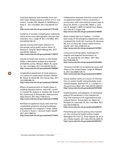Coal dust exposure and mortality from ischemic heart disease among a cohort of U.S. coal miners. Landen DD, Wassell JT, McWilliams L, Patel A. *Am J Ind Med.* 2011 Oct;54(10):727- 33.

**http://www.ncbi.nlm.nih.gov/pubmed/21761428**

Incidence of workers compensation indemnity claims across socio-demographic and job characteristics. Du J, Leigh JP. *Am J Ind Med.* 2011 Oct;54(10):758-70.

Injuries among solid waste collectors in the private versus public sectors. Bunn TL, Slavova S, Tang M. *Waste Manag Res.* 2011 Oct;29(10):1043-52.

**http://www.ncbi.nlm.nih.gov/pubmed/21746757**

Injuries to hired crop workers in the United States: a descriptive analysis of a national probability survey. Wang S, Myers JR, Layne LA. *Am J Ind Med.* 2011 Oct;54(10):734-47. **http://www.ncbi.nlm.nih.gov/pubmed/21692097**

Longitudinal assessment of noise exposure in a cohort of construction workers. Neitzel RL, Stover B, Seixas NS. *Ann Occup Hyg.* 2011 Oct;55(8):906-16.

**http://www.ncbi.nlm.nih.gov/pubmed/21825303**

Effects of parkinsonism on health status in welding exposed workers. Harris RC, Lundin JI, Criswell SR, Hobson A, Swisher LM, Evanoff BA, Checkoway H, Racette BA. *Parkinsonism Relat Disord.* 2011 Nov;17(9):672-6. **http://www.ncbi.nlm.nih.gov/pubmed/21724446**

Nonfatal occupational injury rates and musculoskeletal symptoms among housekeeping employees of a hospital in Texas. Salwe K, Kumar S, Hood J. *J Environ Public Health.*  2011;2011:382510.

**http://www.ncbi.nlm.nih.gov/pubmed/21776437**

Collaboration between infection control and occupational health in three continents: a success story with international impact.Yassi A, Bryce EA, Breilh J, Lavoie MC, Ndelu L, Lockhart K, Spiegel J. *BMC Int Health Hum Rights.*  2011 Nov 8;11 Suppl 2:S8. **http://www.ncbi.nlm.nih.gov/pubmed/22166059**

Work-related falls from ladders – a followback study of US emergency department cases. Lombardi DA, Smith GS, Courtney TK, Brennan MJ, Kim JY, Perry MJ. *Scand J Work Environ Health.* 2011 Nov;37(6):525-32. **http://www.ncbi.nlm.nih.gov/pubmed/21670941**

Living and working safely: challenges for migrant and seasonal farmworkers. Arcury TA, Quandt SA. *N C Med J.* 2011 Nov-Dec;72(6):466-70. **http://www.ncbi.nlm.nih.gov/pubmed/22523856**

Economic burden of occupational injury and illness in the United States. Leigh JP. *Milbank Q.* 2011 Dec;89(4):728-72. **http://www.ncbi.nlm.nih.gov/pubmed/22188353**

Group medical claims as a source of information on worker health and potentially workrelated diseases. Bushnell PT, Li J, Landen D. *J Occup Environ Med.* 2011 Dec;53(12):1430-41. **http://www.ncbi.nlm.nih.gov/pubmed/22076036**

Implementation and adoption of mechanical patient lift equipment in the hospital setting: The importance of organizational and cultural factors. Schoenfisch AL, Myers DJ, Pompeii LA, Lipscomb HJ. *Am J Ind Med.* 2011 Dec;54(12):946-54. **http://www.ncbi.nlm.nih.gov/pubmed/22068725**

Preventing eye injuries among citrus harvesters: the community health worker model. Monaghan PF, Forst LS, Tovar-Aguilar JA, et al. *Am J Public Health.* 2011 Dec;101(12):2269-74. **http://www.ncbi.nlm.nih.gov/pubmed/22021291**



This study is described in the Section I of this report.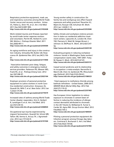Respiratory protective equipment, mask use, and respiratory outcomes among World Trade Center rescue and recovery workers. Antao VC, Pallos LL, Shim YK, et al. *Am J Ind Med.*  2011 Dec;54(12):897-905. **http://www.ncbi.nlm.nih.gov/pubmed/21932428**

Work-related injuries and illnesses reported by world trade center response workers and volunteers. Perritt KR, Herbert R, Levin SM, Moline *J. Prehosp Disaster Med.* 2011 Dec;26(6):401-7.

**http://www.ncbi.nlm.nih.gov/pubmed/22559304**

An aging workforce and injury in the construction industry. Schwatka NV, Butler LM, Rosecrance JR. *Epidemiol Rev.* 2012 Jan;34(1):156- 67.

**http://www.ncbi.nlm.nih.gov/pubmed/22173940**

Association between poor sleep, fatigue, and safety outcomes in emergency medical services providers. Patterson PD, Weaver MD, Frank RC, et al. *Prehosp Emerg Care.* 2012 Jan;16(1):86-97.

**http://www.ncbi.nlm.nih.gov/pubmed/22023164**

Employer provision of personal protective equipment to Latino workers in north Carolina residential construction. Grzywacz JG, Quandt SA, Mills T, et al. *New Solut.* 2012 Jan 1;22(2):175-90. **http://www.ncbi.nlm.nih.gov/pubmed/22776579**

Increased rates of asthma among World Trade Center disaster responders. Kim H, Herbert R, Landrigan P, et al. *Am J Ind Med.* 2012 Jan;55(1):44-53. **http://www.ncbi.nlm.nih.gov/pubmed/22068920**

Occupational eye injuries experienced by migrant farmworkers. Quandt SA, Schulz MR, Talton JW, Verma A, Arcury TA. *J Agromedicine.* 2012 Jan;17(1):63-9. **http://www.ncbi.nlm.nih.gov/pubmed/22191504**

Young worker safety in construction: Do family ties and workgroup size affect hazard exposures and safety practices? Rauscher KJ, Myers DJ, Runyan CW, Schulman M. *Work.*  2012 Jan 1;42(4):1-12. **http://www.ncbi.nlm.nih.gov/pubmed/22523046**

Safety climate and workplace violence prevention in state-run residential addiction treatment centers. Lipscomb JA, London M, Chen YM, Flannery K, Watt M, Geiger-Brown J, Johnson JV, McPhaul K. *Work.* 2012;42(1):47- 56.

**http://www.ncbi.nlm.nih.gov/pubmed/22635149**

Evaluating progress in reducing workplace violence: trends in Washington State workers' compensation claims rates, 1997-2007. Foley M, Rauser E. *Work.* 2012;42(1):67-81. **http://www.ncbi.nlm.nih.gov/pubmed/22635151**

Carpal tunnel syndrome and its relationship to occupation: a meta-analysis. Barcenilla A, March LM, Chen JS, Sambrook PN. *Rheumatology (Oxford).* 2012 Feb;51(2):250-61. **http://www.ncbi.nlm.nih.gov/pubmed/21586523**

**37**

Fatal exposure to methylene chloride among bathtub refinishers - United States, 2000-2011. *MMWR Morb Mortal Wkly Rep.* 2012 Feb 24;61(7):119-22. **http://www.ncbi.nlm.nih.gov/pubmed/22357403**

Has European Union legislation to reduce exposure to chromate in cement been effective in reducing the incidence of allergic contact dermatitis attributed to chromate in the UK? Stocks SJ, McNamee R, Turner S, Carder M, Agius RM. *Occup Environ Med.* 2012 Feb;69(2):150-2.

**http://www.ncbi.nlm.nih.gov/pubmed/21849347**

Piloting a personal protection equipment distribution program among Chicago day laborers. Contreras E, Buchanan S. *Am J Ind Med.* 2012 Feb;55(2):159-66. **http://www.ncbi.nlm.nih.gov/pubmed/22161902**

This study is described in the Section I of this report.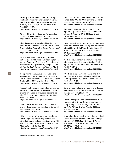Poultry processing work and respiratory health of Latino men and women in North Carolina. Mirabelli MC, Chatterjee AB, Arcury TA, et al. *J Occup Environ Med.* 2012 Feb;54(2):177-83. **http://www.ncbi.nlm.nih.gov/pubmed/22237034**

12-h or 8-h shifts? It depends. Ferguson SA, Dawson D. *Sleep Med Rev.* 2012 Feb 1. **http://www.ncbi.nlm.nih.gov/pubmed/22306236**

Identification of work-related injuries in a State Trauma Registry. Sears JM, Bowman SM, Silverstein BA, Adams D. *J Occup Environ Med.*  2012 Mar;54(3):356-62. **http://www.ncbi.nlm.nih.gov/pubmed/22361989**

Musculoskeletal injuries among hospital patient care staff before and after implementation of patient lift and transfer equipment. Schoenfisch AL, Lipscomb HJ, Pompeii LA, et al. *Scand J Work Environ Health.* 2012 March. **http://www.ncbi.nlm.nih.gov/pubmed/22396049**

Occupational injury surveillance using the Washington State Trauma Registry. Sears JM, Bowman SM, Adams D, Silverstein BA. J Occup Environ Med. 2011 Nov;53(11):1243-50. **http://www.ncbi.nlm.nih.gov/pubmed/22068129**

Association between perceived union connection and upper body musculoskeletal pains among unionized construction apprentices. Kim SS, Perry MJ, Okechukwu CA. *Am J Ind Med.* 2012 April.

**http://www.ncbi.nlm.nih.gov/pubmed/22544333**

On the recurrence of occupational injuries and workers' compensation claims. Galizzi M. *Health Econ.* 2012 April. **http://www.ncbi.nlm.nih.gov/pubmed/22539203**

The prevalence of carpal tunnel syndrome in Latino poultry-processing workers and other Latino manual workers. Cartwright MS, Walker FO, Blocker JN, et al. *J Occup Environ Med.* 2012 Feb;54(2):198-201. **http://www.ncbi.nlm.nih.gov/pubmed/22258161**

Short sleep duration among workers – United States, 2010. *MMWR Morbidity and Mortality Weekly Rep.* 2012 Apr 27;61(16):281-5. **http://www.ncbi.nlm.nih.gov/pubmed/22534760**

States with low non-fatal injury rates have high fatality rates and vice-versa. Mendeloff J, Burns R. *Am J Ind Med.* 2012 Apr 2. doi: 10.1002/ajim.22047. **http://www.ncbi.nlm.nih.gov/pubmed/22473632**

Use of statewide electronic emergency department data for occupational injury surveillance: a feasibility study in Massachusetts. Davis LK, Hunt PR, Hackman HH, et al. *Am J Ind Med.* 2012 Apr;55(4):344-52. **http://www.ncbi.nlm.nih.gov/pubmed/22125024**

Worker populations at risk for work-related injuries across the life course. Kachan D, Fleming LE, LeBlanc WG, et al. *Am J Ind Med.* 2012 Apr;55(4):361-6. **http://www.ncbi.nlm.nih.gov/pubmed/22170632**

Workers' compensation benefits and shifting costs for occupational injury and illness. Leigh JP, Marcin JP. *J Occup Environ Med.* 2012 Apr;54(4):445-50. **http://www.ncbi.nlm.nih.gov/pubmed/22446573**

Enhancing surveillance of injuries and disease among agricultural youth. Stallones L. *J Agromedicine.* 2012;17(2):94-108. **http://www.ncbi.nlm.nih.gov/pubmed/22490024**

Chronic back pain among older construction workers in the United States: a longitudinal study. Dong XS, Wang X, Fujimoto A, Dobbin R. *Int J Occup Environ Health.* 2012 Apr-Jun;18(2):99-109. **http://www.ncbi.nlm.nih.gov/pubmed/22762489**

Disposal of sharps medical waste in the United States: impact of recommendations and regulations, 1987-2007. Perry J, Jagger J, Parker G, Phillips EK, Gomaa A. *Am J Infect Control.* 2012 May;40(4):354-8. **http://www.ncbi.nlm.nih.gov/pubmed/21824683**

This study is described in the Section I of this report.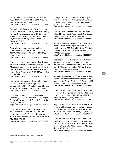Dump truck-related deaths in construction, 1992-2007. McCann M, Cheng MT. *Am J Ind Med.* 2012 May;55(5):450-7. **http://www.ncbi.nlm.nih.gov/pubmed/22113947**

Evaluation of direct workers' compensation costs for musculoskeletal injuries surrounding interventions to reduce patient lifting. Lipscomb HJ, Schoenfisch AL, Myers DJ, Pompeii LA, Dement JM. *Occup Environ Med.* 2012 May;69(5):367-72. **http://www.ncbi.nlm.nih.gov/pubmed/22199366**

Fatal injuries among grounds maintenance workers: United States, 200 – 2008. *MMWR Morb Mortal Wkly Rep.* 2011 May 6;60(17):542-6.

**http://www.ncbi.nlm.nih.gov/pubmed/21544043**

Fifteen years of occupational and environmental health projects support in Brazil, Chile, and Mexico: A report from Mount Sinai School of Medicine ITREOH program, 1995-2010. Peres F, Claudio L. *Am J Ind Med.* 2012 May 16. doi: 10.1002/ajim.22066.

**http://www.ncbi.nlm.nih.gov/pubmed/22593011**

Healthcare cost usage for hospitalised injuries sustained in industrial settings in the USA. Lander L, Shah RK, Li Y, Mahalingam-Dhingra A, Smith LM, Sorock G. *Inj Prev.* 2012 May. **http://www.ncbi.nlm.nih.gov/pubmed/22627781**

Leukemia among male construction workers in California, 1988-2007. Luckhaupt SE, Deapen D, Cress R, Schumacher P, Shen R, Calvert GM. *Leuk Lymphoma.* 2012 May. **http://www.ncbi.nlm.nih.gov/pubmed/22563817**

Lung cancer risk among construction workers in California, 1988-2007. Calvert GM, Luckhaupt S, Lee SJ, Cress R, Schumacher P, Shen R, Tak S, Deapen D. *Am J Ind Med.* 2012 May;55(5):412-22. **http://www.ncbi.nlm.nih.gov/pubmed/22237930**

Lung Cancer and Elemental Carbon Exposure in Trucking Industry Workers. Garshick E, Laden F, Hart JE, et al. *Environ Health Perspect.* 2012 May 31. **http://www.ncbi.nlm.nih.gov/pubmed/22739103**

 Multisource surveillance system for workrelated burns. Kica J, Rosenman KD. *J Occup Environ Med.* 2012 May;54(5):642-7. **http://www.ncbi.nlm.nih.gov/pubmed/22513658**

A new estimate of the impact of OSHA inspections on manufacturing injury rates, 1998- 2005. Haviland AM, Burns RM, Gray WB, Ruder T, Mendeloff J. *Am J Ind Med.* 2012 May. doi: 10.1002/ajim.22062. **http://www.ncbi.nlm.nih.gov/pubmed/22566135**

Occupational coccidioidomycosis in California: outbreak investigation, respirator recommendations, and surveillance findings. Das R, Mc-Nary J, Fitzsimmons K, et al. *J Occup Environ Med.* 2012 May;54(5):564-71. **http://www.ncbi.nlm.nih.gov/pubmed/22504958**

A qualitative evaluation of owner and worker health and safety beliefs in small auto collision repair shops. Parker DL, Bejan A, Brosseau LM. *Am J Ind* Med. 2012 May;55(5):474-82. **http://www.ncbi.nlm.nih.gov/pubmed/22392733**

**39**

Randomized government safety inspections reduce worker injuries with no detectable job loss. Levine DI, Toffel MW, Johnson MS. *Science.* 2012 May 18;336(6083):907-11. **http://www.ncbi.nlm.nih.gov/pubmed/22605775**

A systematic review of the effectiveness of occupational health and safety training. Robson LS, Stephenson CM, Schulte PA, et al. *Scand J Work Environ Health.* 2012 May;38(3):193-208. **http://www.ncbi.nlm.nih.gov/pubmed/22045515**

3-D jobs and health disparities: The health implications of Latino chicken catchers' working conditions. Quandt SA, Arcury-Quandt AE, Lawlor EJ, et al. *Am J Ind Med.* 2012 May 22. doi: 10.1002/ajim.22072. **http://www.ncbi.nlm.nih.gov/pubmed/22618638**

This study is described in the Section I of this report.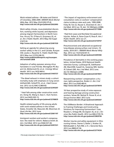Work-related asthma—38 states and District of Columbia, 2006-2009. *MMWR Morb Mortal Wkly Rep.* 2012 May 25;61(20):375-8. **http://www.ncbi.nlm.nih.gov/pubmed/22622093**

Work safety climate, musculoskeletal discomfort, working while injured, and depression among migrant farmworkers in North Carolina. Arcury TA, O'Hara H, Grzywacz JG, et al. *Am J Public Health.* 2012 May;102 Suppl 2:S272-8.

**http://www.ncbi.nlm.nih.gov/pubmed/22401520**

Setting an agenda for advancing young worker safety in the U.S. and Canada. Runyan CW, Lewko J, Rauscher K. *Public Health Rep.*  2012 May-Jun;127(3):246-52. **[http://www.publichealthreports.org/issueopen.](http://www.publichealthreports.org/issueopen.cfm?articleID=2838) cfm?articleID=2838**

Adoption of safety eyewear among citrus harvesters in rural Florida. Monaghan PF, Bryant CA, McDermott RJ, et al. *J Immigr Minor Health.* 2012 Jun;14(3):460-6. **http://www.ncbi.nlm.nih.gov/pubmed/21643727**

The diesel exhaust in miners study: a cohort mortality study with emphasis on lung cancer. Attfield MD, Schleiff PL, et al. *J Natl Cancer Inst.* 2012 Jun 6;104(11):869-83. **http://www.ncbi.nlm.nih.gov/pubmed/22393207**

 Fatal falls among older construction workers. Dong XS, Wang X, Daw C. *Hum Factors.*  2012 Jun;54(3):303-15. **http://www.ncbi.nlm.nih.gov/pubmed/22768635**

Health-related quality of life among adults with work-related asthma in the United States. Knoeller GE, Mazurek JM, Moorman JE. *Qual Life Res.* 2012 June. **http://www.ncbi.nlm.nih.gov/pubmed/22661107**

Immigrant workers and worker's compensation: the need for reform. Rebecca Smith JD. *Am J Ind Med.* 2012 Jun;55(6):537-44. **http://www.ncbi.nlm.nih.gov/pubmed/22457221**

The impact of regulatory enforcement and consultation visits on workers' compensation claims incidence rates and costs, 1999-2008. Foley M, Fan ZJ, Rauser E, Silverstein B. *Am J Ind Med.* 2012 Jun 19. doi: 10.1002/ajim.22084. **http://www.ncbi.nlm.nih.gov/pubmed/22715086**

Paid Sick Leave and Nonfatal Occupational Injuries. Asfaw A, Pana-Cryan R, Rosa R. *Am J Public Health.* 2012 Jun 21. **http://www.ncbi.nlm.nih.gov/pubmed/22720767**

Pneumoconiosis and advanced occupational lung disease among surface coal miners--16 states, 2010-2011. *MMWR Morb Mortal Wkly Rep.* 2012 Jun 15;61(23):431-4. **http://www.ncbi.nlm.nih.gov/pubmed/22695382**

Prevalence of dermatitis in the working population, United States, 2010 National Health Interview Survey. Luckhaupt SE, Dahlhamer JM, Ward BW, Sussell AL, Sweeney MH, Sestito JP, Calvert GM. *Am J Ind Med.* 2012 June. doi:10.1002/ajim.22080. **http://www.ncbi.nlm.nih.gov/pubmed/22674651**

Reexamining workers' compensation: a human rights perspective. Boden LI. *Am J Ind Med*. 2012 Jun;55(6):483-6. **http://www.ncbi.nlm.nih.gov/pubmed/22570018**

10-Year prospective study of noise exposure and hearing damage among construction workers. Seixas NS, Neitzel R, Stover B, et al. *Occup Environ Med.* 2012 June. **http://www.ncbi.nlm.nih.gov/pubmed/22693267**

The US/Mexico Border: A Binational Approach to Framing Challenges and Constructing Solutions for Improving Farmworkers' Lives. Rosales C, Ortega MI, De Zapien JG, et al. *J Environ Res Public Health.* 2012 Jun;9(6):2159-74. **http://www.ncbi.nlm.nih.gov/pubmed/22829796**

Worker injuries and safety equipment in Ohio nursing homes. Stanev S, Bailer J, Straker JK, Mehdizadeh S, Park RM, Li H. *J Gerontol Nurs.*  2012 Jun;38(6):47-56. **http://www.ncbi.nlm.nih.gov/pubmed/22774234**

This study is described in the Section I of this report.

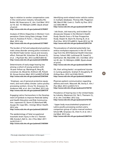Age in relation to worker compensation costs in the construction industry. Schwatka NV, Butler LM, Rosecrance JC. *Am J Ind Med.* 2012 Jul 10. doi: 10.1002/ajim.22093. [Epub ahead of print]

**http://www.ncbi.nlm.nih.gov/pubmed/22782837**

Analysis of Ethnic Disparities in Workers' Compensation Claims Using Data Linkage. Friedman LS, Ruestow P, Forst L. *J Occup Environ Med.* 2012 July. **http://www.ncbi.nlm.nih.gov/pubmed/22776807**

The burden of full and subsyndromal posttraumatic stress disorder among police involved in the World Trade Center rescue and recovery effort. Pietrzak RH, Schechter CB, Bromet EJ, et al. *J Psychiatr Res.* 2012 Jul;46(7):835-42. **http://www.ncbi.nlm.nih.gov/pubmed/22464942**

Determinants of early-stage hearing loss among a cohort of young workers with 16-year follow-up. Marlenga B, Berg RL, Linneman JG, Wood DJ, Kirkhorn SR, Pickett W. *Occup Environ Med.* 2012 Jul;69(7):479-84. **http://www.ncbi.nlm.nih.gov/pubmed/22447644**

Employer, use of personal protective equipment, and work safety climate: Latino poultry processing workers. Arcury TA, Grzywacz JG, Anderson AM, et al. *Am J Ind Med.* 2012 July. **http://www.ncbi.nlm.nih.gov/pubmed/22847579**

Engaging Latino Farmworkers in the Development of Symbols to Improve Pesticide Safety and Health Education and Risk Communication. Leprevost CE, Storm JF, Blanchard MR, Asuaje CR, Cope WG. *J Immigr Minor Health.*  2012 July.

**http://www.ncbi.nlm.nih.gov/pubmed/22833257**

The epidemiology of fatal occupational traumatic brain injury in the U.S. Tiesman HM, Konda S, Bell JL. *Am J Prev Med.* 2011 Jul;41(1):61-7. **http://www.ncbi.nlm.nih.gov/pubmed/21665064** Identifying work-related motor vehicle crashes in multiple databases. Thomas AM, Thygerson SM, Merrill RM, Cook LJ. *Traffic Inj Prev.* 2012 Jul;13(4):348-54. **http://www.ncbi.nlm.nih.gov/pubmed/22817549**

Job Strain, Job Insecurity, and Incident Cardiovascular Disease in the Women's Health Study: Results from a 10-Year Prospective Study. Slopen N, Glynn RJ, Buring JE, et al. *PLoS One.* 2012;7(7):e40512. Epub 2012 Jul 18. **http://www.ncbi.nlm.nih.gov/pubmed/22815754**

The prevalence of selected potentially hazardous workplace exposures in the US: Findings from the 2010 National Health Interview Survey. Calvert GM, Luckhaupt SE, Sussell A, Dahlhamer JM, Ward BW. *Am J Ind Med.* 2012 Jul 20. doi: 10.1002/ajim.22089. [Epub ahead of print] **http://www.ncbi.nlm.nih.gov/pubmed/22821700**

Oh, their aching backs!: occupational injuries in nursing assistants. Graham P, Dougherty JP. *Orthop Nurs.* 2012 Jul;31(4):218-23. **http://www.ncbi.nlm.nih.gov/pubmed/22828524**

Physician-patient communication regarding asthma and work. Mazurek JM, Storey E. *Am J Prev Med*. 2012 Jul;43(1):72-5. **http://www.ncbi.nlm.nih.gov/pubmed/22704750**

Prevalence of hearing loss in the United States by industry. Masterson EA, Tak S, Themann CL, et al. *Am J Ind Med.* 2012 July. **http://www.ncbi.nlm.nih.gov/pubmed/22767358**

Upper body musculoskeletal symptoms of Latino poultry processing workers and a comparison group of Latino manual workers. Schulz MR, Grzywacz JG, Chen H, et al. *Am J Ind Med.* 2012 July. **http://www.ncbi.nlm.nih.gov/pubmed/22847516**



This study is described in the Section I of this report.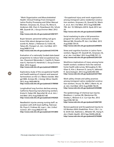Work Organization and Musculoskeletal Health: Clinical Findings From Immigrant Latino Poultry Processing and Other Manual Workers. Grzywacz JG, Arcury TA, Mora D, Anderson AM, Chen H, Rosenbaum DA, Schulz MR, Quandt SA. *J Occup Environ Med.* 2012 July.

**http://www.ncbi.nlm.nih.gov/pubmed/22821071**

Buyer beware: personnel selling nail guns know little about dangerous tools. Lipscomb HJ, Nolan J, Patterson D, Fullen M, Takacs BC, Pompeii LA. *Am J Ind Med.* 2011 Aug;54(8):571-8. **http://www.ncbi.nlm.nih.gov/pubmed/21472746**

Evaluation of a nationally funded state-based programme to reduce fatal occupational injuries. Chaumont Menendez C, Castillo D, Rosenman K, Harrison R, Hendricks S. *Occup Environ Med.* 2012 August.

**http://www.ncbi.nlm.nih.gov/pubmed/22864251**

Exploratory study of the occupational health and health-seeking of migrant and seasonal farmworkers on the U.S.-Mexico border. Weigel MM, Armijos RX. *J Immigr Minor Health.*  2012 Aug;14(4):648-56. **http://www.ncbi.nlm.nih.gov/pubmed/21789560**

Longitudinal lung function declines among California flavoring manufacturing workers. Kreiss K, Fedan KB, Nasrullah M, et al. *Am J Ind Med.* 2012 Aug;55(8):657-68. **http://www.ncbi.nlm.nih.gov/pubmed/21932425**

Needlestick injuries among nursing staff: association with shift-level staffing. Patrician PA, Pryor E, Fridman M, Loan L. *Am J Infect Control.* 2011 Aug;39(6):477-82. **http://www.ncbi.nlm.nih.gov/pubmed/21612843**

Occupational injury and work organization among immigrant Latino residential construction workers. Grzywacz JG, Quandt SA, Marín A, et al. *Am J Ind Med.* 2012 Aug;55(8):698- 706. doi: 10.1002/ajim.22014. Epub 2012 Jan 20.

**http://www.ncbi.nlm.nih.gov/pubmed/22266800**

Social marketing to plan a fall prevention program for Latino construction workers. Menzel NN, Shrestha PP. *Am J Ind Med.* 2012 Aug;55(8):729-35. **http://www.ncbi.nlm.nih.gov/pubmed/22495878**

Stress and cognitive function in Latino Farmworkers. Nguyen HT, Quandt SA, Grzywacz JG, et al. *Am J Ind Med.* 2012 Aug;55(8):707-13. **http://www.ncbi.nlm.nih.gov/pubmed/22431234**

Workforce implications of injury among home health workers: evidence from the national home health aide survey. McCaughey D, Mc-Ghan G, Kim J, Brannon D, Leroy H, Jablonski R. *Gerontologist.* 2012 Aug;52(4):493-505. **http://www.ncbi.nlm.nih.gov/pubmed/22217463**

Work safety climate and safety practices among immigrant Latino residential construction workers. Arcury TA, Mills T, Marín AJ, et al. *Am J Ind Med.* 2012 Aug;55(8):736-45. **http://www.ncbi.nlm.nih.gov/pubmed/22544480**

The epidemiology of chemical eye injuries. Blackburn J, Levitan EB, Maclennan PA, Owsley C, McGwin G Jr. *Curr Eye Res.* 2012 Sep;37(9):787-93. **http://www.ncbi.nlm.nih.gov/pubmed/22667345**

Nonoccupational and Occupational Injuries to US Workers With Disabilities. Price J, Shi J, Lu B, Smith GA, Stallones L, Wheeler KK, Xiang H. *Am J Public Health.* 2012 Sep;102(9):e38-46. **http://www.ncbi.nlm.nih.gov/pubmed/22742060**

This study is described in the Section I of this report.